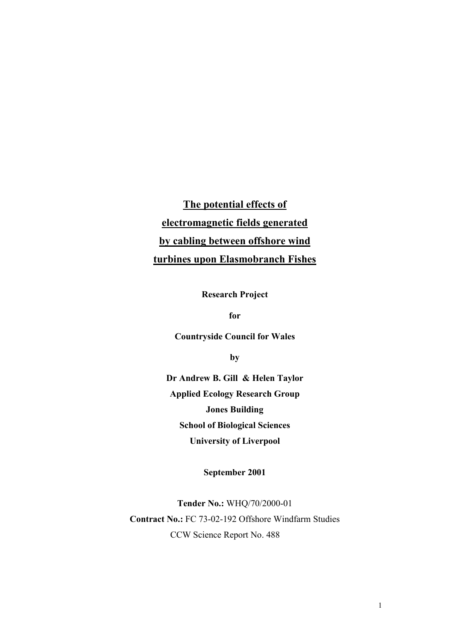**The potential effects of electromagnetic fields generated by cabling between offshore wind turbines upon Elasmobranch Fishes**

**Research Project** 

**for** 

**Countryside Council for Wales**

**by** 

**Dr Andrew B. Gill & Helen Taylor Applied Ecology Research Group Jones Building School of Biological Sciences University of Liverpool**

**September 2001** 

**Tender No.:** WHQ/70/2000-01 **Contract No.:** FC 73-02-192 Offshore Windfarm Studies CCW Science Report No. 488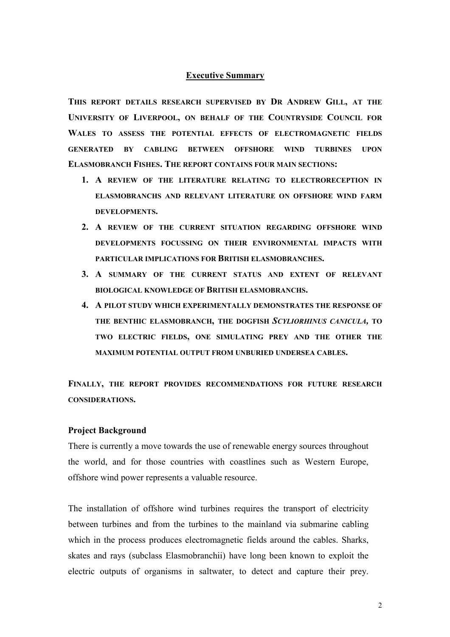## **Executive Summary**

**THIS REPORT DETAILS RESEARCH SUPERVISED BY DR ANDREW GILL, AT THE UNIVERSITY OF LIVERPOOL, ON BEHALF OF THE COUNTRYSIDE COUNCIL FOR WALES TO ASSESS THE POTENTIAL EFFECTS OF ELECTROMAGNETIC FIELDS GENERATED BY CABLING BETWEEN OFFSHORE WIND TURBINES UPON ELASMOBRANCH FISHES. THE REPORT CONTAINS FOUR MAIN SECTIONS:** 

- **1. A REVIEW OF THE LITERATURE RELATING TO ELECTRORECEPTION IN ELASMOBRANCHS AND RELEVANT LITERATURE ON OFFSHORE WIND FARM DEVELOPMENTS.**
- **2. A REVIEW OF THE CURRENT SITUATION REGARDING OFFSHORE WIND DEVELOPMENTS FOCUSSING ON THEIR ENVIRONMENTAL IMPACTS WITH PARTICULAR IMPLICATIONS FOR BRITISH ELASMOBRANCHES.**
- **3. A SUMMARY OF THE CURRENT STATUS AND EXTENT OF RELEVANT BIOLOGICAL KNOWLEDGE OF BRITISH ELASMOBRANCHS.**
- **4. A PILOT STUDY WHICH EXPERIMENTALLY DEMONSTRATES THE RESPONSE OF THE BENTHIC ELASMOBRANCH, THE DOGFISH** *SCYLIORHINUS CANICULA,* **TO TWO ELECTRIC FIELDS, ONE SIMULATING PREY AND THE OTHER THE MAXIMUM POTENTIAL OUTPUT FROM UNBURIED UNDERSEA CABLES.**

**FINALLY, THE REPORT PROVIDES RECOMMENDATIONS FOR FUTURE RESEARCH CONSIDERATIONS.** 

### **Project Background**

There is currently a move towards the use of renewable energy sources throughout the world, and for those countries with coastlines such as Western Europe, offshore wind power represents a valuable resource.

The installation of offshore wind turbines requires the transport of electricity between turbines and from the turbines to the mainland via submarine cabling which in the process produces electromagnetic fields around the cables. Sharks, skates and rays (subclass Elasmobranchii) have long been known to exploit the electric outputs of organisms in saltwater, to detect and capture their prey.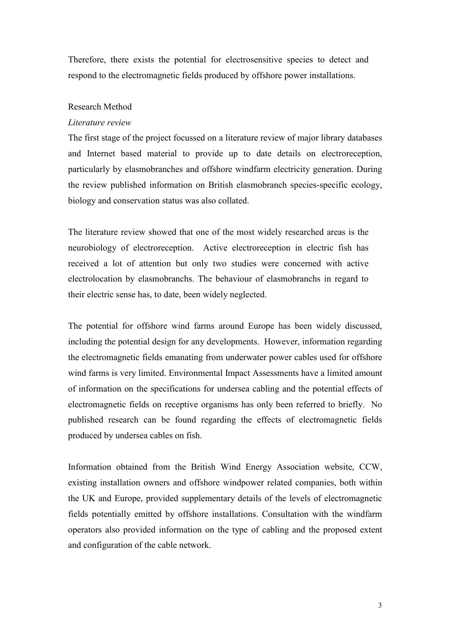Therefore, there exists the potential for electrosensitive species to detect and respond to the electromagnetic fields produced by offshore power installations.

## Research Method

### *Literature review*

The first stage of the project focussed on a literature review of major library databases and Internet based material to provide up to date details on electroreception, particularly by elasmobranches and offshore windfarm electricity generation. During the review published information on British elasmobranch species-specific ecology, biology and conservation status was also collated.

The literature review showed that one of the most widely researched areas is the neurobiology of electroreception. Active electroreception in electric fish has received a lot of attention but only two studies were concerned with active electrolocation by elasmobranchs. The behaviour of elasmobranchs in regard to their electric sense has, to date, been widely neglected.

The potential for offshore wind farms around Europe has been widely discussed, including the potential design for any developments. However, information regarding the electromagnetic fields emanating from underwater power cables used for offshore wind farms is very limited. Environmental Impact Assessments have a limited amount of information on the specifications for undersea cabling and the potential effects of electromagnetic fields on receptive organisms has only been referred to briefly. No published research can be found regarding the effects of electromagnetic fields produced by undersea cables on fish.

Information obtained from the British Wind Energy Association website, CCW, existing installation owners and offshore windpower related companies, both within the UK and Europe, provided supplementary details of the levels of electromagnetic fields potentially emitted by offshore installations. Consultation with the windfarm operators also provided information on the type of cabling and the proposed extent and configuration of the cable network.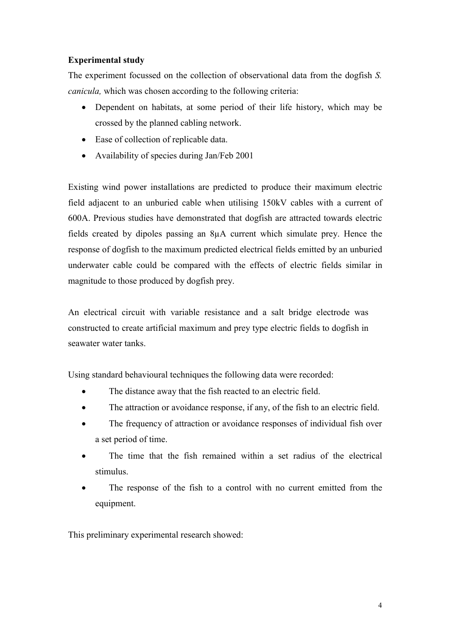# **Experimental study**

The experiment focussed on the collection of observational data from the dogfish *S. canicula,* which was chosen according to the following criteria:

- $\bullet$  Dependent on habitats, at some period of their life history, which may be crossed by the planned cabling network.
- Ease of collection of replicable data.
- Availability of species during Jan/Feb 2001

Existing wind power installations are predicted to produce their maximum electric field adjacent to an unburied cable when utilising 150kV cables with a current of 600A. Previous studies have demonstrated that dogfish are attracted towards electric fields created by dipoles passing an 8µA current which simulate prey. Hence the response of dogfish to the maximum predicted electrical fields emitted by an unburied underwater cable could be compared with the effects of electric fields similar in magnitude to those produced by dogfish prey.

An electrical circuit with variable resistance and a salt bridge electrode was constructed to create artificial maximum and prey type electric fields to dogfish in seawater water tanks.

Using standard behavioural techniques the following data were recorded:

- -The distance away that the fish reacted to an electric field.
- -The attraction or avoidance response, if any, of the fish to an electric field.
- $\blacksquare$  The frequency of attraction or avoidance responses of individual fish over a set period of time.
- $\bullet$  The time that the fish remained within a set radius of the electrical stimulus.
- - The response of the fish to a control with no current emitted from the equipment.

This preliminary experimental research showed: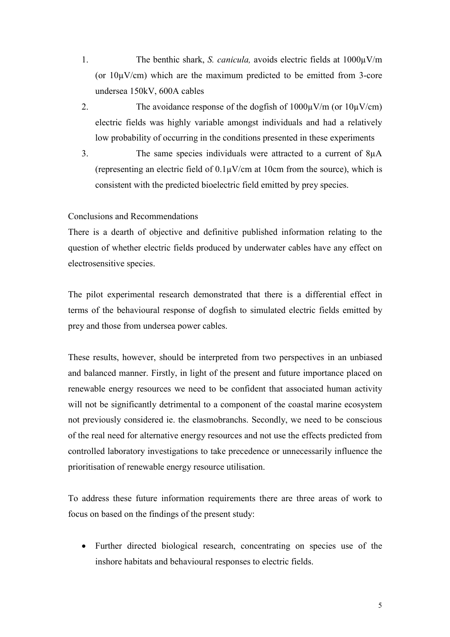- 1. The benthic shark, *S. canicula,* avoids electric fields at 1000µV/m (or  $10\mu$ V/cm) which are the maximum predicted to be emitted from 3-core undersea 150kV, 600A cables
- 2. The avoidance response of the dogfish of  $1000\mu\text{V/m}$  (or  $10\mu\text{V/cm}$ ) electric fields was highly variable amongst individuals and had a relatively low probability of occurring in the conditions presented in these experiments
- 3. The same species individuals were attracted to a current of 8µA (representing an electric field of  $0.1\mu$ V/cm at 10cm from the source), which is consistent with the predicted bioelectric field emitted by prey species.

# Conclusions and Recommendations

There is a dearth of objective and definitive published information relating to the question of whether electric fields produced by underwater cables have any effect on electrosensitive species.

The pilot experimental research demonstrated that there is a differential effect in terms of the behavioural response of dogfish to simulated electric fields emitted by prey and those from undersea power cables.

These results, however, should be interpreted from two perspectives in an unbiased and balanced manner. Firstly, in light of the present and future importance placed on renewable energy resources we need to be confident that associated human activity will not be significantly detrimental to a component of the coastal marine ecosystem not previously considered ie. the elasmobranchs. Secondly, we need to be conscious of the real need for alternative energy resources and not use the effects predicted from controlled laboratory investigations to take precedence or unnecessarily influence the prioritisation of renewable energy resource utilisation.

To address these future information requirements there are three areas of work to focus on based on the findings of the present study:

- Further directed biological research, concentrating on species use of the inshore habitats and behavioural responses to electric fields.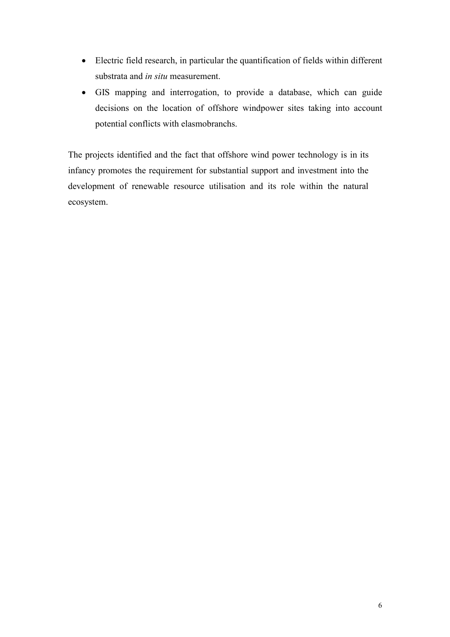- Electric field research, in particular the quantification of fields within different substrata and *in situ* measurement.
- GIS mapping and interrogation, to provide a database, which can guide decisions on the location of offshore windpower sites taking into account potential conflicts with elasmobranchs.

The projects identified and the fact that offshore wind power technology is in its infancy promotes the requirement for substantial support and investment into the development of renewable resource utilisation and its role within the natural ecosystem.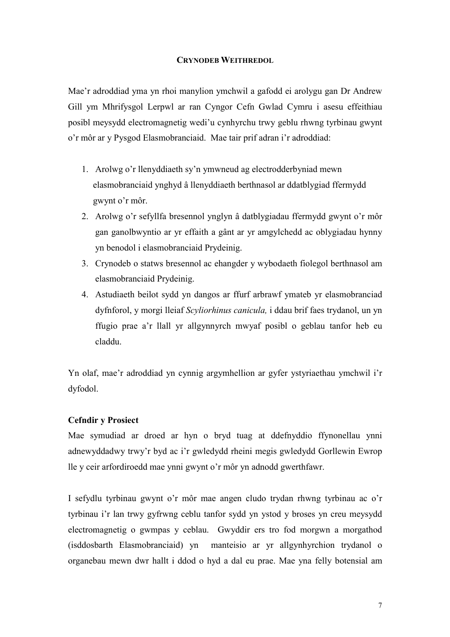# **CRYNODEB WEITHREDOL**

Mae'r adroddiad yma yn rhoi manylion ymchwil a gafodd ei arolygu gan Dr Andrew Gill ym Mhrifysgol Lerpwl ar ran Cyngor Cefn Gwlad Cymru i asesu effeithiau posibl meysydd electromagnetig wedi'u cynhyrchu trwy geblu rhwng tyrbinau gwynt o'r môr ar y Pysgod Elasmobranciaid. Mae tair prif adran i'r adroddiad:

- 1. Arolwg o'r llenyddiaeth sy'n ymwneud ag electrodderbyniad mewn elasmobranciaid ynghyd â llenyddiaeth berthnasol ar ddatblygiad ffermydd gwynt o'r môr.
- 2. Arolwg o'r sefyllfa bresennol ynglyn â datblygiadau ffermydd gwynt o'r môr gan ganolbwyntio ar yr effaith a gânt ar yr amgylchedd ac oblygiadau hynny yn benodol i elasmobranciaid Prydeinig.
- 3. Crynodeb o statws bresennol ac ehangder y wybodaeth fiolegol berthnasol am elasmobranciaid Prydeinig.
- 4. Astudiaeth beilot sydd yn dangos ar ffurf arbrawf ymateb yr elasmobranciad dyfnforol, y morgi lleiaf *Scyliorhinus canicula,* i ddau brif faes trydanol, un yn ffugio prae a'r llall yr allgynnyrch mwyaf posibl o geblau tanfor heb eu claddu.

Yn olaf, mae'r adroddiad yn cynnig argymhellion ar gyfer ystyriaethau ymchwil i'r dyfodol.

## **Cefndir y Prosiect**

Mae symudiad ar droed ar hyn o bryd tuag at ddefnyddio ffynonellau ynni adnewyddadwy trwy'r byd ac i'r gwledydd rheini megis gwledydd Gorllewin Ewrop lle y ceir arfordiroedd mae ynni gwynt o'r môr yn adnodd gwerthfawr.

I sefydlu tyrbinau gwynt o'r môr mae angen cludo trydan rhwng tyrbinau ac o'r tyrbinau i'r lan trwy gyfrwng ceblu tanfor sydd yn ystod y broses yn creu meysydd electromagnetig o gwmpas y ceblau. Gwyddir ers tro fod morgwn a morgathod (isddosbarth Elasmobranciaid) yn manteisio ar yr allgynhyrchion trydanol o organebau mewn dwr hallt i ddod o hyd a dal eu prae. Mae yna felly botensial am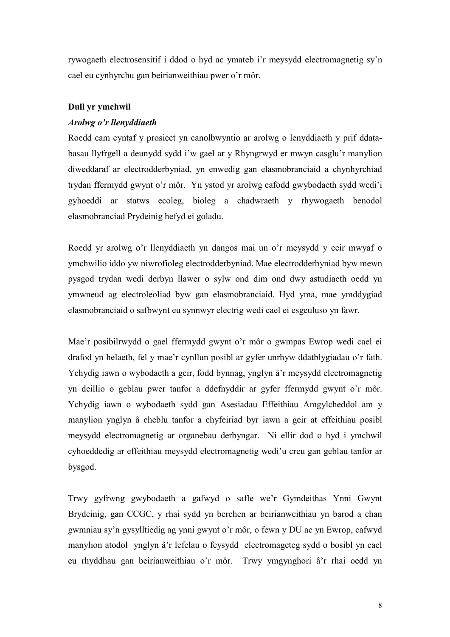rywogaeth electrosensitif i ddod o hyd ac ymateb i'r meysydd electromagnetig sy'n cael eu cynhyrchu gan beirianweithiau pwer o'r môr.

# **Dull yr ymchwil**

# *Arolwg o'r llenyddiaeth*

Roedd cam cyntaf y prosiect yn canolbwyntio ar arolwg o lenyddiaeth y prif ddatabasau llyfrgell a deunydd sydd i'w gael ar y Rhyngrwyd er mwyn casglu'r manylion diweddaraf ar electrodderbyniad, yn enwedig gan elasmobranciaid a chynhyrchiad trydan ffermydd gwynt o'r môr. Yn ystod yr arolwg cafodd gwybodaeth sydd wedi'i gyhoeddi ar statws ecoleg, bioleg a chadwraeth y rhywogaeth benodol elasmobranciad Prydeinig hefyd ei goladu.

Roedd yr arolwg o'r llenyddiaeth yn dangos mai un o'r meysydd y ceir mwyaf o ymchwilio iddo yw niwrofioleg electrodderbyniad. Mae electrodderbyniad byw mewn pysgod trydan wedi derbyn llawer o sylw ond dim ond dwy astudiaeth oedd yn ymwneud ag electroleoliad byw gan elasmobranciaid. Hyd yma, mae ymddygiad elasmobranciaid o safbwynt eu synnwyr electrig wedi cael ei esgeuluso yn fawr.

Mae'r posibilrwydd o gael ffermydd gwynt o'r môr o gwmpas Ewrop wedi cael ei drafod yn helaeth, fel y mae'r cynllun posibl ar gyfer unrhyw ddatblygiadau o'r fath. Ychydig iawn o wybodaeth a geir, fodd bynnag, ynglyn â'r meysydd electromagnetig yn deillio o geblau pwer tanfor a ddefnyddir ar gyfer ffermydd gwynt o'r môr. Ychydig iawn o wybodaeth sydd gan Asesiadau Effeithiau Amgylcheddol am y manylion ynglyn â cheblu tanfor a chyfeiriad byr iawn a geir at effeithiau posibl meysydd electromagnetig ar organebau derbyngar. Ni ellir dod o hyd i ymchwil cyhoeddedig ar effeithiau meysydd electromagnetig wedi'u creu gan geblau tanfor ar bysgod.

Trwy gyfrwng gwybodaeth a gafwyd o safle we'r Gymdeithas Ynni Gwynt Brydeinig, gan CCGC, y rhai sydd yn berchen ar beirianweithiau yn barod a chan gwmniau sy'n gysylltiedig ag ynni gwynt o'r môr, o fewn y DU ac yn Ewrop, cafwyd manylion atodol ynglyn â'r lefelau o feysydd electromageteg sydd o bosibl yn cael eu rhyddhau gan beirianweithiau o'r môr. Trwy ymgynghori â'r rhai oedd yn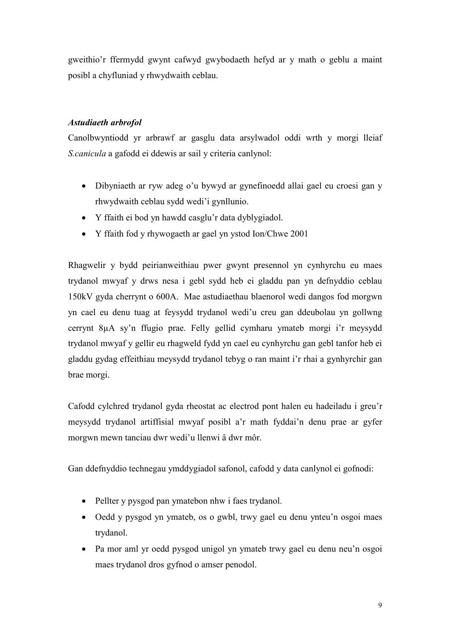gweithio'r ffermydd gwynt cafwyd gwybodaeth hefyd ar y math o geblu a maint posibl a chyfluniad y rhwydwaith ceblau.

# *Astudiaeth arbrofol*

Canolbwyntiodd yr arbrawf ar gasglu data arsylwadol oddi wrth y morgi lleiaf *S.canicula* a gafodd ei ddewis ar sail y criteria canlynol:

- Dibyniaeth ar ryw adeg o'u bywyd ar gynefinoedd allai gael eu croesi gan y rhwydwaith ceblau sydd wedi'i gynllunio.
- Y ffaith ei bod yn hawdd casglu'r data dyblygiadol.
- Y ffaith fod y rhywogaeth ar gael yn ystod Ion/Chwe 2001

Rhagwelir y bydd peirianweithiau pwer gwynt presennol yn cynhyrchu eu maes trydanol mwyaf y drws nesa i gebl sydd heb ei gladdu pan yn defnyddio ceblau 150kV gyda cherrynt o 600A. Mae astudiaethau blaenorol wedi dangos fod morgwn yn cael eu denu tuag at feysydd trydanol wedi'u creu gan ddeubolau yn gollwng cerrynt 8µA sy'n ffugio prae. Felly gellid cymharu ymateb morgi i'r meysydd trydanol mwyaf y gellir eu rhagweld fydd yn cael eu cynhyrchu gan gebl tanfor heb ei gladdu gydag effeithiau meysydd trydanol tebyg o ran maint i'r rhai a gynhyrchir gan brae morgi.

Cafodd cylchred trydanol gyda rheostat ac electrod pont halen eu hadeiladu i greu'r meysydd trydanol artiffisial mwyaf posibl a'r math fyddai'n denu prae ar gyfer morgwn mewn tanciau dwr wedi'u llenwi â dwr môr.

Gan ddefnyddio technegau ymddygiadol safonol, cafodd y data canlynol ei gofnodi:

- Pellter y pysgod pan ymatebon nhw i faes trydanol.
- Oedd y pysgod yn ymateb, os o gwbl, trwy gael eu denu ynteu'n osgoi maes trydanol.
- Pa mor aml yr oedd pysgod unigol yn ymateb trwy gael eu denu neu'n osgoi maes trydanol dros gyfnod o amser penodol.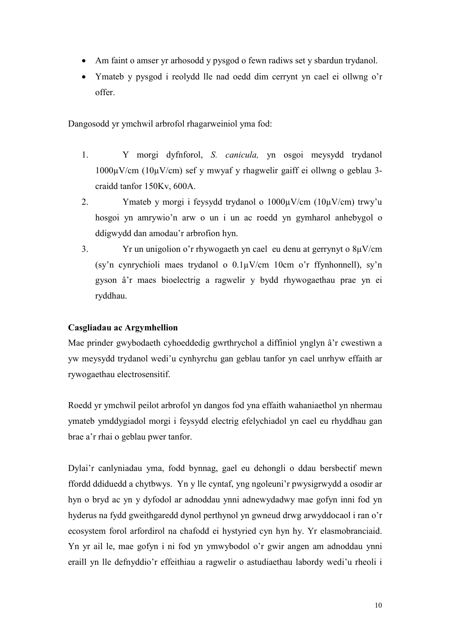- Am faint o amser yr arhosodd y pysgod o fewn radiws set y sbardun trydanol.
- - Ymateb y pysgod i reolydd lle nad oedd dim cerrynt yn cael ei ollwng o'r offer.

Dangosodd yr ymchwil arbrofol rhagarweiniol yma fod:

- 1. Y morgi dyfnforol, *S. canicula,* yn osgoi meysydd trydanol 1000µV/cm (10µV/cm) sef y mwyaf y rhagwelir gaiff ei ollwng o geblau 3 craidd tanfor 150Kv, 600A.
- 2. Ymateb y morgi i feysydd trydanol o  $1000\mu$ V/cm  $(10\mu$ V/cm) trwy'u hosgoi yn amrywio'n arw o un i un ac roedd yn gymharol anhebygol o ddigwydd dan amodau'r arbrofion hyn.
- 3. Yr un unigolion o'r rhywogaeth yn cael eu denu at gerrynyt o 8µV/cm (sy'n cynrychioli maes trydanol o 0.1µV/cm 10cm o'r ffynhonnell), sy'n gyson â'r maes bioelectrig a ragwelir y bydd rhywogaethau prae yn ei ryddhau.

# **Casgliadau ac Argymhellion**

Mae prinder gwybodaeth cyhoeddedig gwrthrychol a diffiniol ynglyn â'r cwestiwn a yw meysydd trydanol wedi'u cynhyrchu gan geblau tanfor yn cael unrhyw effaith ar rywogaethau electrosensitif.

Roedd yr ymchwil peilot arbrofol yn dangos fod yna effaith wahaniaethol yn nhermau ymateb ymddygiadol morgi i feysydd electrig efelychiadol yn cael eu rhyddhau gan brae a'r rhai o geblau pwer tanfor.

Dylai'r canlyniadau yma, fodd bynnag, gael eu dehongli o ddau bersbectif mewn ffordd ddiduedd a chytbwys. Yn y lle cyntaf, yng ngoleuni'r pwysigrwydd a osodir ar hyn o bryd ac yn y dyfodol ar adnoddau ynni adnewydadwy mae gofyn inni fod yn hyderus na fydd gweithgaredd dynol perthynol yn gwneud drwg arwyddocaol i ran o'r ecosystem forol arfordirol na chafodd ei hystyried cyn hyn hy. Yr elasmobranciaid. Yn yr ail le, mae gofyn i ni fod yn ymwybodol o'r gwir angen am adnoddau ynni eraill yn lle defnyddio'r effeithiau a ragwelir o astudiaethau labordy wedi'u rheoli i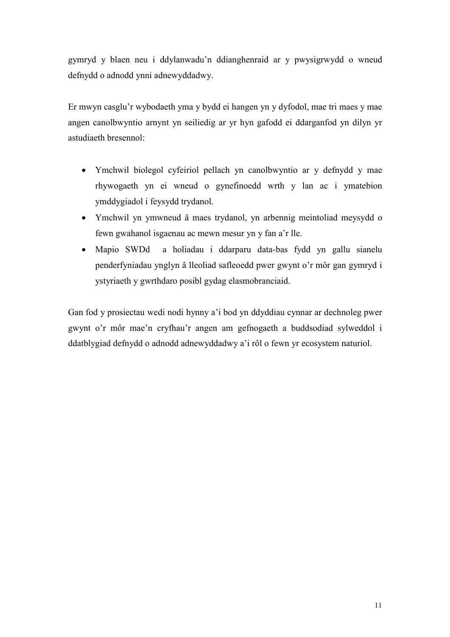gymryd y blaen neu i ddylanwadu'n ddianghenraid ar y pwysigrwydd o wneud defnydd o adnodd ynni adnewyddadwy.

Er mwyn casglu'r wybodaeth yma y bydd ei hangen yn y dyfodol, mae tri maes y mae angen canolbwyntio arnynt yn seiliedig ar yr hyn gafodd ei ddarganfod yn dilyn yr astudiaeth bresennol:

- Ymchwil biolegol cyfeiriol pellach yn canolbwyntio ar y defnydd y mae rhywogaeth yn ei wneud o gynefinoedd wrth y lan ac i ymatebion ymddygiadol i feysydd trydanol.
- Ymchwil yn ymwneud â maes trydanol, yn arbennig meintoliad meysydd o fewn gwahanol isgaenau ac mewn mesur yn y fan a'r lle.
- Mapio SWDd a holiadau i ddarparu data-bas fydd yn gallu sianelu penderfyniadau ynglyn â lleoliad safleoedd pwer gwynt o'r môr gan gymryd i ystyriaeth y gwrthdaro posibl gydag elasmobranciaid.

Gan fod y prosiectau wedi nodi hynny a'i bod yn ddyddiau cynnar ar dechnoleg pwer gwynt o'r môr mae'n cryfhau'r angen am gefnogaeth a buddsodiad sylweddol i ddatblygiad defnydd o adnodd adnewyddadwy a'i rôl o fewn yr ecosystem naturiol.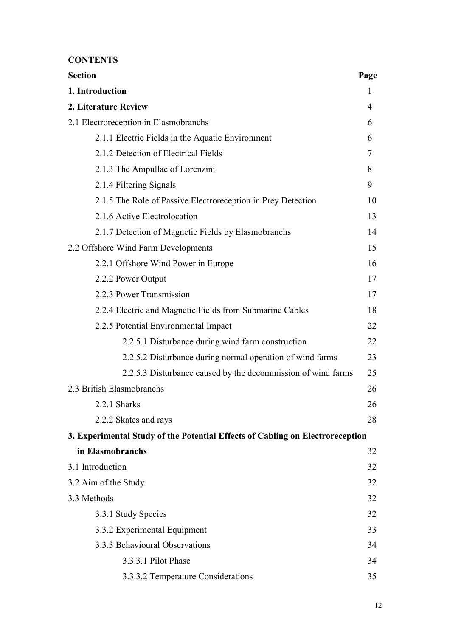**CONTENTS** 

| <b>Section</b>                                                                | Page |  |  |
|-------------------------------------------------------------------------------|------|--|--|
| 1. Introduction                                                               | 1    |  |  |
| 2. Literature Review                                                          | 4    |  |  |
| 2.1 Electroreception in Elasmobranchs                                         | 6    |  |  |
| 2.1.1 Electric Fields in the Aquatic Environment                              | 6    |  |  |
| 2.1.2 Detection of Electrical Fields                                          | 7    |  |  |
| 2.1.3 The Ampullae of Lorenzini                                               | 8    |  |  |
| 2.1.4 Filtering Signals                                                       | 9    |  |  |
| 2.1.5 The Role of Passive Electroreception in Prey Detection                  | 10   |  |  |
| 2.1.6 Active Electrolocation                                                  | 13   |  |  |
| 2.1.7 Detection of Magnetic Fields by Elasmobranchs                           | 14   |  |  |
| 2.2 Offshore Wind Farm Developments                                           | 15   |  |  |
| 2.2.1 Offshore Wind Power in Europe                                           | 16   |  |  |
| 2.2.2 Power Output                                                            | 17   |  |  |
| 2.2.3 Power Transmission                                                      | 17   |  |  |
| 2.2.4 Electric and Magnetic Fields from Submarine Cables                      | 18   |  |  |
| 2.2.5 Potential Environmental Impact                                          | 22   |  |  |
| 2.2.5.1 Disturbance during wind farm construction                             | 22   |  |  |
| 2.2.5.2 Disturbance during normal operation of wind farms                     | 23   |  |  |
| 2.2.5.3 Disturbance caused by the decommission of wind farms                  | 25   |  |  |
| 2.3 British Elasmobranchs                                                     | 26   |  |  |
| 2.2.1 Sharks                                                                  |      |  |  |
| 2.2.2 Skates and rays                                                         | 28   |  |  |
| 3. Experimental Study of the Potential Effects of Cabling on Electroreception |      |  |  |
| in Elasmobranchs                                                              | 32   |  |  |
| 3.1 Introduction                                                              | 32   |  |  |
| 3.2 Aim of the Study                                                          | 32   |  |  |
| 3.3 Methods                                                                   | 32   |  |  |
| 3.3.1 Study Species                                                           | 32   |  |  |
| 3.3.2 Experimental Equipment                                                  | 33   |  |  |
| 3.3.3 Behavioural Observations                                                | 34   |  |  |
| 3.3.3.1 Pilot Phase                                                           | 34   |  |  |
| 3.3.3.2 Temperature Considerations                                            | 35   |  |  |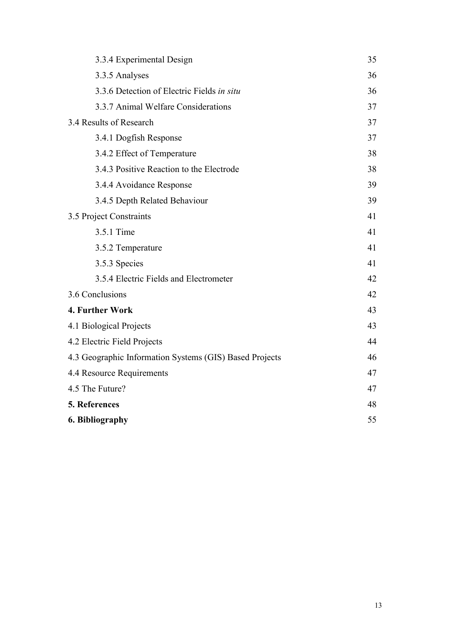| 3.3.4 Experimental Design                               |    |  |
|---------------------------------------------------------|----|--|
| 3.3.5 Analyses                                          | 36 |  |
| 3.3.6 Detection of Electric Fields in situ              | 36 |  |
| 3.3.7 Animal Welfare Considerations                     | 37 |  |
| 3.4 Results of Research                                 | 37 |  |
| 3.4.1 Dogfish Response                                  | 37 |  |
| 3.4.2 Effect of Temperature                             |    |  |
| 3.4.3 Positive Reaction to the Electrode                |    |  |
| 3.4.4 Avoidance Response                                | 39 |  |
| 3.4.5 Depth Related Behaviour                           | 39 |  |
| 3.5 Project Constraints                                 | 41 |  |
| 3.5.1 Time                                              | 41 |  |
| 3.5.2 Temperature                                       | 41 |  |
| 3.5.3 Species                                           | 41 |  |
| 3.5.4 Electric Fields and Electrometer                  | 42 |  |
| 3.6 Conclusions                                         | 42 |  |
| 4. Further Work                                         | 43 |  |
| 4.1 Biological Projects                                 | 43 |  |
| 4.2 Electric Field Projects                             | 44 |  |
| 4.3 Geographic Information Systems (GIS) Based Projects | 46 |  |
| 4.4 Resource Requirements                               | 47 |  |
| 4.5 The Future?                                         |    |  |
| 5. References                                           |    |  |
| 6. Bibliography                                         |    |  |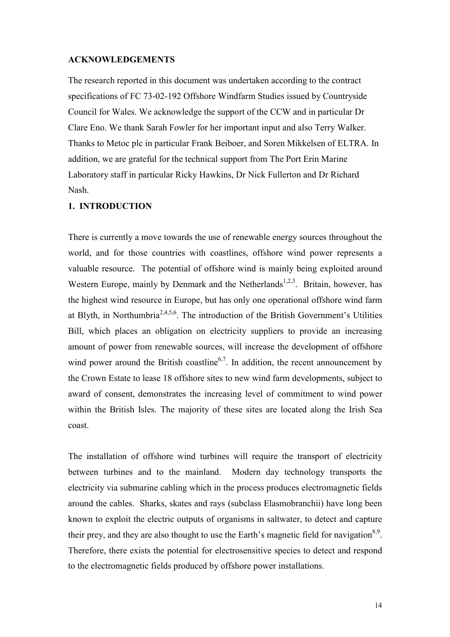### **ACKNOWLEDGEMENTS**

The research reported in this document was undertaken according to the contract specifications of FC 73-02-192 Offshore Windfarm Studies issued by Countryside Council for Wales. We acknowledge the support of the CCW and in particular Dr Clare Eno. We thank Sarah Fowler for her important input and also Terry Walker. Thanks to Metoc plc in particular Frank Beiboer, and Soren Mikkelsen of ELTRA. In addition, we are grateful for the technical support from The Port Erin Marine Laboratory staff in particular Ricky Hawkins, Dr Nick Fullerton and Dr Richard Nash.

## **1. INTRODUCTION**

There is currently a move towards the use of renewable energy sources throughout the world, and for those countries with coastlines, offshore wind power represents a valuable resource. The potential of offshore wind is mainly being exploited around Western Europe, mainly by Denmark and the Netherlands<sup>1,2,3</sup>. Britain, however, has the highest wind resource in Europe, but has only one operational offshore wind farm at Blyth, in Northumbria<sup>2,4,5,6</sup>. The introduction of the British Government's Utilities Bill, which places an obligation on electricity suppliers to provide an increasing amount of power from renewable sources, will increase the development of offshore wind power around the British coastline<sup>6,7</sup>. In addition, the recent announcement by the Crown Estate to lease 18 offshore sites to new wind farm developments, subject to award of consent, demonstrates the increasing level of commitment to wind power within the British Isles. The majority of these sites are located along the Irish Sea coast.

The installation of offshore wind turbines will require the transport of electricity between turbines and to the mainland. Modern day technology transports the electricity via submarine cabling which in the process produces electromagnetic fields around the cables. Sharks, skates and rays (subclass Elasmobranchii) have long been known to exploit the electric outputs of organisms in saltwater, to detect and capture their prey, and they are also thought to use the Earth's magnetic field for navigation<sup>8,9</sup>. Therefore, there exists the potential for electrosensitive species to detect and respond to the electromagnetic fields produced by offshore power installations.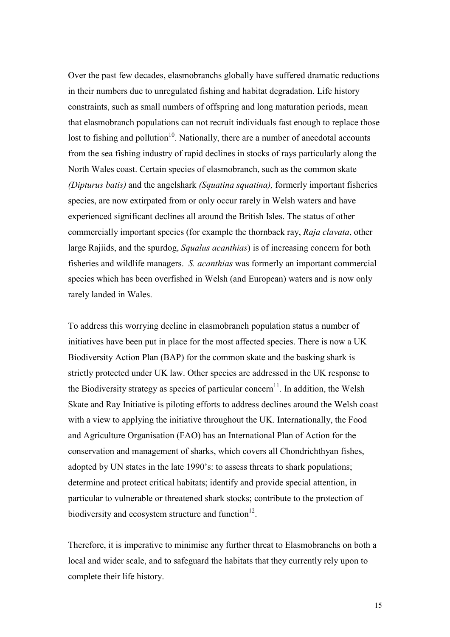Over the past few decades, elasmobranchs globally have suffered dramatic reductions in their numbers due to unregulated fishing and habitat degradation. Life history constraints, such as small numbers of offspring and long maturation periods, mean that elasmobranch populations can not recruit individuals fast enough to replace those lost to fishing and pollution<sup>10</sup>. Nationally, there are a number of anecdotal accounts from the sea fishing industry of rapid declines in stocks of rays particularly along the North Wales coast. Certain species of elasmobranch, such as the common skate *(Dipturus batis)* and the angelshark *(Squatina squatina),* formerly important fisheries species, are now extirpated from or only occur rarely in Welsh waters and have experienced significant declines all around the British Isles. The status of other commercially important species (for example the thornback ray, *Raja clavata*, other large Rajiids, and the spurdog, *Squalus acanthias*) is of increasing concern for both fisheries and wildlife managers. *S. acanthias* was formerly an important commercial species which has been overfished in Welsh (and European) waters and is now only rarely landed in Wales.

To address this worrying decline in elasmobranch population status a number of initiatives have been put in place for the most affected species. There is now a UK Biodiversity Action Plan (BAP) for the common skate and the basking shark is strictly protected under UK law. Other species are addressed in the UK response to the Biodiversity strategy as species of particular concern<sup>11</sup>. In addition, the Welsh Skate and Ray Initiative is piloting efforts to address declines around the Welsh coast with a view to applying the initiative throughout the UK. Internationally, the Food and Agriculture Organisation (FAO) has an International Plan of Action for the conservation and management of sharks, which covers all Chondrichthyan fishes, adopted by UN states in the late 1990's: to assess threats to shark populations; determine and protect critical habitats; identify and provide special attention, in particular to vulnerable or threatened shark stocks; contribute to the protection of biodiversity and ecosystem structure and function $12$ .

Therefore, it is imperative to minimise any further threat to Elasmobranchs on both a local and wider scale, and to safeguard the habitats that they currently rely upon to complete their life history.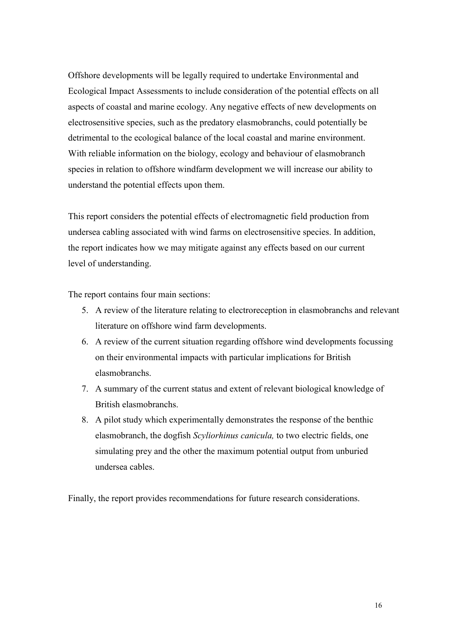Offshore developments will be legally required to undertake Environmental and Ecological Impact Assessments to include consideration of the potential effects on all aspects of coastal and marine ecology. Any negative effects of new developments on electrosensitive species, such as the predatory elasmobranchs, could potentially be detrimental to the ecological balance of the local coastal and marine environment. With reliable information on the biology, ecology and behaviour of elasmobranch species in relation to offshore windfarm development we will increase our ability to understand the potential effects upon them.

This report considers the potential effects of electromagnetic field production from undersea cabling associated with wind farms on electrosensitive species. In addition, the report indicates how we may mitigate against any effects based on our current level of understanding.

The report contains four main sections:

- 5. A review of the literature relating to electroreception in elasmobranchs and relevant literature on offshore wind farm developments.
- 6. A review of the current situation regarding offshore wind developments focussing on their environmental impacts with particular implications for British elasmobranchs.
- 7. A summary of the current status and extent of relevant biological knowledge of British elasmobranchs.
- 8. A pilot study which experimentally demonstrates the response of the benthic elasmobranch, the dogfish *Scyliorhinus canicula,* to two electric fields, one simulating prey and the other the maximum potential output from unburied undersea cables.

Finally, the report provides recommendations for future research considerations.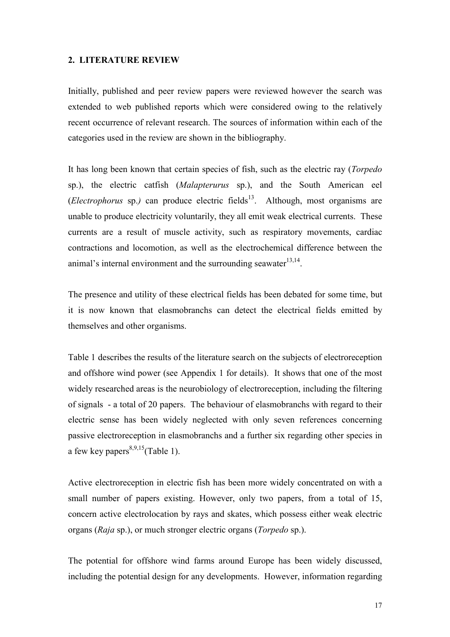#### **2. LITERATURE REVIEW**

Initially, published and peer review papers were reviewed however the search was extended to web published reports which were considered owing to the relatively recent occurrence of relevant research. The sources of information within each of the categories used in the review are shown in the bibliography.

It has long been known that certain species of fish, such as the electric ray (*Torpedo* sp.), the electric catfish (*Malapterurus* sp.), and the South American eel  $(Electrophorus$  sp.) can produce electric fields<sup>13</sup>. Although, most organisms are unable to produce electricity voluntarily, they all emit weak electrical currents. These currents are a result of muscle activity, such as respiratory movements, cardiac contractions and locomotion, as well as the electrochemical difference between the animal's internal environment and the surrounding seawater<sup>13,14</sup>.

The presence and utility of these electrical fields has been debated for some time, but it is now known that elasmobranchs can detect the electrical fields emitted by themselves and other organisms.

Table 1 describes the results of the literature search on the subjects of electroreception and offshore wind power (see Appendix 1 for details). It shows that one of the most widely researched areas is the neurobiology of electroreception, including the filtering of signals - a total of 20 papers. The behaviour of elasmobranchs with regard to their electric sense has been widely neglected with only seven references concerning passive electroreception in elasmobranchs and a further six regarding other species in a few key papers<sup>8,9,15</sup>(Table 1).

Active electroreception in electric fish has been more widely concentrated on with a small number of papers existing. However, only two papers, from a total of 15, concern active electrolocation by rays and skates, which possess either weak electric organs (*Raja* sp.), or much stronger electric organs (*Torpedo* sp.).

The potential for offshore wind farms around Europe has been widely discussed, including the potential design for any developments. However, information regarding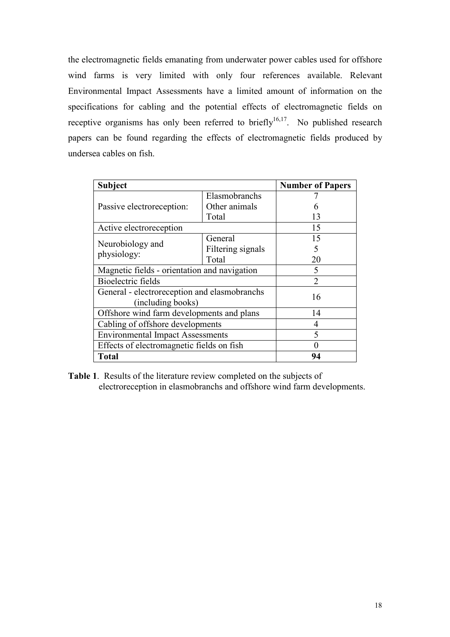the electromagnetic fields emanating from underwater power cables used for offshore wind farms is very limited with only four references available. Relevant Environmental Impact Assessments have a limited amount of information on the specifications for cabling and the potential effects of electromagnetic fields on receptive organisms has only been referred to briefly $16,17$ . No published research papers can be found regarding the effects of electromagnetic fields produced by undersea cables on fish.

| <b>Subject</b>                                                    |                   | <b>Number of Papers</b>     |
|-------------------------------------------------------------------|-------------------|-----------------------------|
| Passive electroreception:                                         | Elasmobranchs     |                             |
|                                                                   | Other animals     |                             |
|                                                                   | Total             | 13                          |
| Active electroreception                                           |                   | 15                          |
| Neurobiology and<br>physiology:                                   | General           | 15                          |
|                                                                   | Filtering signals |                             |
|                                                                   | Total             | 20                          |
| Magnetic fields - orientation and navigation                      |                   |                             |
| Bioelectric fields                                                |                   | $\mathcal{D}_{\mathcal{A}}$ |
| General - electroreception and elasmobranchs<br>(including books) |                   | 16                          |
| Offshore wind farm developments and plans                         |                   | 14                          |
| Cabling of offshore developments                                  |                   | 4                           |
| <b>Environmental Impact Assessments</b>                           |                   |                             |
| Effects of electromagnetic fields on fish                         |                   |                             |
| <b>Total</b>                                                      |                   | 94                          |

**Table 1**. Results of the literature review completed on the subjects of electroreception in elasmobranchs and offshore wind farm developments.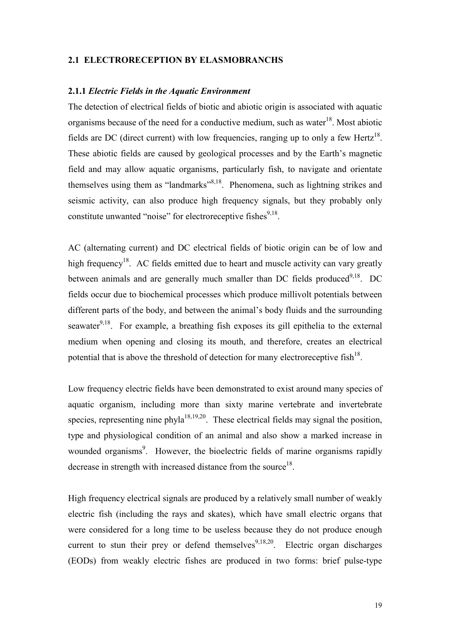### **2.1 ELECTRORECEPTION BY ELASMOBRANCHS**

#### **2.1.1** *Electric Fields in the Aquatic Environment*

The detection of electrical fields of biotic and abiotic origin is associated with aquatic organisms because of the need for a conductive medium, such as water<sup>18</sup>. Most abiotic fields are DC (direct current) with low frequencies, ranging up to only a few Hertz<sup>18</sup>. These abiotic fields are caused by geological processes and by the Earth's magnetic field and may allow aquatic organisms, particularly fish, to navigate and orientate themselves using them as "landmarks"<sup>8,18</sup>. Phenomena, such as lightning strikes and seismic activity, can also produce high frequency signals, but they probably only constitute unwanted "noise" for electroreceptive fishes<sup>9,18</sup>.

AC (alternating current) and DC electrical fields of biotic origin can be of low and high frequency<sup>18</sup>. AC fields emitted due to heart and muscle activity can vary greatly between animals and are generally much smaller than DC fields produced<sup>9,18</sup>. DC fields occur due to biochemical processes which produce millivolt potentials between different parts of the body, and between the animal's body fluids and the surrounding seawater<sup>9,18</sup>. For example, a breathing fish exposes its gill epithelia to the external medium when opening and closing its mouth, and therefore, creates an electrical potential that is above the threshold of detection for many electroreceptive fish $^{18}$ .

Low frequency electric fields have been demonstrated to exist around many species of aquatic organism, including more than sixty marine vertebrate and invertebrate species, representing nine phyla $18,19,20$ . These electrical fields may signal the position, type and physiological condition of an animal and also show a marked increase in wounded organisms<sup>9</sup>. However, the bioelectric fields of marine organisms rapidly decrease in strength with increased distance from the source $18$ .

High frequency electrical signals are produced by a relatively small number of weakly electric fish (including the rays and skates), which have small electric organs that were considered for a long time to be useless because they do not produce enough current to stun their prey or defend themselves<sup>9,18,20</sup>. Electric organ discharges (EODs) from weakly electric fishes are produced in two forms: brief pulse-type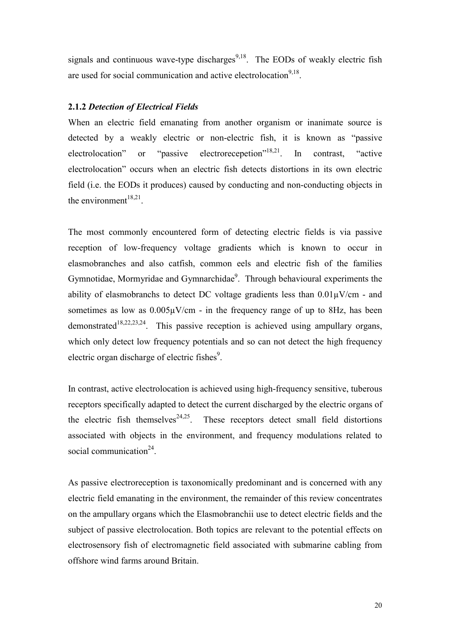signals and continuous wave-type discharges<sup>9,18</sup>. The EODs of weakly electric fish are used for social communication and active electrolocation<sup>9,18</sup>.

# **2.1.2** *Detection of Electrical Fields*

When an electric field emanating from another organism or inanimate source is detected by a weakly electric or non-electric fish, it is known as "passive electrolocation" or "passive electrorecepetion"<sup>18,21</sup>. In contrast, "active" electrolocation" occurs when an electric fish detects distortions in its own electric field (i.e. the EODs it produces) caused by conducting and non-conducting objects in the environment $18,21$ .

The most commonly encountered form of detecting electric fields is via passive reception of low-frequency voltage gradients which is known to occur in elasmobranches and also catfish, common eels and electric fish of the families Gymnotidae, Mormyridae and Gymnarchidae<sup>9</sup>. Through behavioural experiments the ability of elasmobranchs to detect DC voltage gradients less than  $0.01\mu$ V/cm - and sometimes as low as  $0.005\mu$ V/cm - in the frequency range of up to 8Hz, has been demonstrated<sup>18,22,23,24</sup>. This passive reception is achieved using ampullary organs, which only detect low frequency potentials and so can not detect the high frequency electric organ discharge of electric fishes $9$ .

In contrast, active electrolocation is achieved using high-frequency sensitive, tuberous receptors specifically adapted to detect the current discharged by the electric organs of the electric fish themselves<sup>24,25</sup>. These receptors detect small field distortions associated with objects in the environment, and frequency modulations related to social communication<sup>24</sup>.

As passive electroreception is taxonomically predominant and is concerned with any electric field emanating in the environment, the remainder of this review concentrates on the ampullary organs which the Elasmobranchii use to detect electric fields and the subject of passive electrolocation. Both topics are relevant to the potential effects on electrosensory fish of electromagnetic field associated with submarine cabling from offshore wind farms around Britain.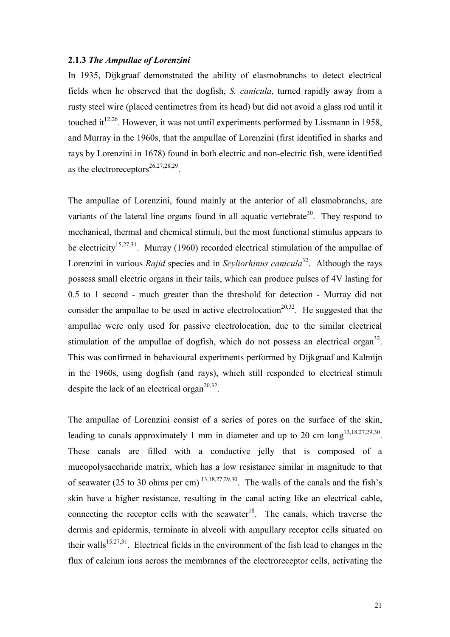### **2.1.3** *The Ampullae of Lorenzini*

In 1935, Dijkgraaf demonstrated the ability of elasmobranchs to detect electrical fields when he observed that the dogfish, *S. canicula*, turned rapidly away from a rusty steel wire (placed centimetres from its head) but did not avoid a glass rod until it touched it<sup>12,26</sup>. However, it was not until experiments performed by Lissmann in 1958, and Murray in the 1960s, that the ampullae of Lorenzini (first identified in sharks and rays by Lorenzini in 1678) found in both electric and non-electric fish, were identified as the electroreceptors<sup>26,27,28,29</sup>.

The ampullae of Lorenzini, found mainly at the anterior of all elasmobranchs, are variants of the lateral line organs found in all aquatic vertebrate<sup>30</sup>. They respond to mechanical, thermal and chemical stimuli, but the most functional stimulus appears to be electricity<sup>15,27,31</sup>. Murray (1960) recorded electrical stimulation of the ampullae of Lorenzini in various *Rajid* species and in *Scyliorhinus canicula*32. Although the rays possess small electric organs in their tails, which can produce pulses of 4V lasting for 0.5 to 1 second - much greater than the threshold for detection - Murray did not consider the ampullae to be used in active electrolocation<sup>20,32</sup>. He suggested that the ampullae were only used for passive electrolocation, due to the similar electrical stimulation of the ampullae of dogfish, which do not possess an electrical organ<sup>32</sup>. This was confirmed in behavioural experiments performed by Dijkgraaf and Kalmijn in the 1960s, using dogfish (and rays), which still responded to electrical stimuli despite the lack of an electrical organ<sup>20,32</sup>.

The ampullae of Lorenzini consist of a series of pores on the surface of the skin, leading to canals approximately 1 mm in diameter and up to 20 cm  $\log^{13,18,27,29,30}$ . These canals are filled with a conductive jelly that is composed of a mucopolysaccharide matrix, which has a low resistance similar in magnitude to that of seawater (25 to 30 ohms per cm)  $^{13,18,27,29,30}$ . The walls of the canals and the fish's skin have a higher resistance, resulting in the canal acting like an electrical cable, connecting the receptor cells with the seawater<sup>18</sup>. The canals, which traverse the dermis and epidermis, terminate in alveoli with ampullary receptor cells situated on their walls<sup>15,27,31</sup>. Electrical fields in the environment of the fish lead to changes in the flux of calcium ions across the membranes of the electroreceptor cells, activating the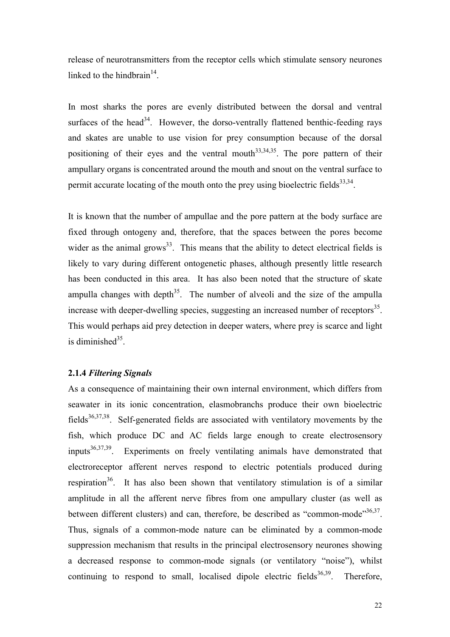release of neurotransmitters from the receptor cells which stimulate sensory neurones linked to the hindbrain<sup>14</sup>.

In most sharks the pores are evenly distributed between the dorsal and ventral surfaces of the head<sup>34</sup>. However, the dorso-ventrally flattened benthic-feeding rays and skates are unable to use vision for prey consumption because of the dorsal positioning of their eyes and the ventral mouth<sup>33,34,35</sup>. The pore pattern of their ampullary organs is concentrated around the mouth and snout on the ventral surface to permit accurate locating of the mouth onto the prev using bioelectric fields $33,34$ .

It is known that the number of ampullae and the pore pattern at the body surface are fixed through ontogeny and, therefore, that the spaces between the pores become wider as the animal grows<sup>33</sup>. This means that the ability to detect electrical fields is likely to vary during different ontogenetic phases, although presently little research has been conducted in this area. It has also been noted that the structure of skate ampulla changes with depth<sup>35</sup>. The number of alveoli and the size of the ampulla increase with deeper-dwelling species, suggesting an increased number of receptors<sup>35</sup>. This would perhaps aid prey detection in deeper waters, where prey is scarce and light is diminished $35$ .

### **2.1.4** *Filtering Signals*

As a consequence of maintaining their own internal environment, which differs from seawater in its ionic concentration, elasmobranchs produce their own bioelectric fields<sup>36,37,38</sup>. Self-generated fields are associated with ventilatory movements by the fish, which produce DC and AC fields large enough to create electrosensory inputs36,37,39. Experiments on freely ventilating animals have demonstrated that electroreceptor afferent nerves respond to electric potentials produced during respiration<sup>36</sup>. It has also been shown that ventilatory stimulation is of a similar amplitude in all the afferent nerve fibres from one ampullary cluster (as well as between different clusters) and can, therefore, be described as "common-mode"<sup>36,37</sup>. Thus, signals of a common-mode nature can be eliminated by a common-mode suppression mechanism that results in the principal electrosensory neurones showing a decreased response to common-mode signals (or ventilatory "noise"), whilst continuing to respond to small, localised dipole electric fields<sup>36,39</sup>. Therefore,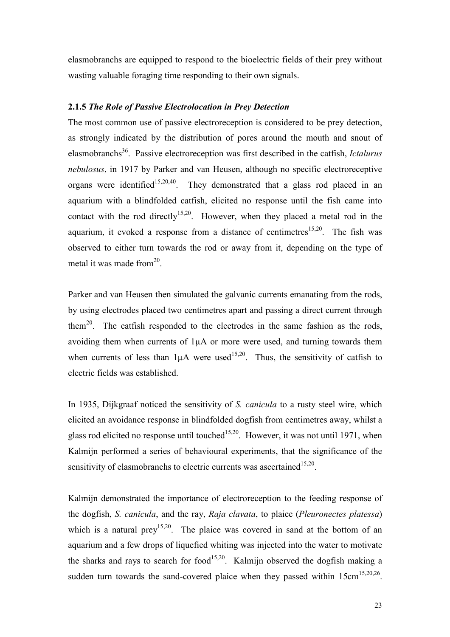elasmobranchs are equipped to respond to the bioelectric fields of their prey without wasting valuable foraging time responding to their own signals.

## **2.1.5** *The Role of Passive Electrolocation in Prey Detection*

The most common use of passive electroreception is considered to be prey detection, as strongly indicated by the distribution of pores around the mouth and snout of elasmobranchs36. Passive electroreception was first described in the catfish, *Ictalurus nebulosus*, in 1917 by Parker and van Heusen, although no specific electroreceptive organs were identified<sup>15,20,40</sup>. They demonstrated that a glass rod placed in an aquarium with a blindfolded catfish, elicited no response until the fish came into contact with the rod directly<sup>15,20</sup>. However, when they placed a metal rod in the aquarium, it evoked a response from a distance of centimetres<sup>15,20</sup>. The fish was observed to either turn towards the rod or away from it, depending on the type of metal it was made from  $20<sup>20</sup>$ .

Parker and van Heusen then simulated the galvanic currents emanating from the rods, by using electrodes placed two centimetres apart and passing a direct current through them<sup>20</sup>. The catfish responded to the electrodes in the same fashion as the rods, avoiding them when currents of 1µA or more were used, and turning towards them when currents of less than  $1\mu A$  were used<sup>15,20</sup>. Thus, the sensitivity of catfish to electric fields was established.

In 1935, Dijkgraaf noticed the sensitivity of *S. canicula* to a rusty steel wire, which elicited an avoidance response in blindfolded dogfish from centimetres away, whilst a glass rod elicited no response until touched<sup>15,20</sup>. However, it was not until 1971, when Kalmijn performed a series of behavioural experiments, that the significance of the sensitivity of elasmobranchs to electric currents was ascertained<sup>15,20</sup>.

Kalmijn demonstrated the importance of electroreception to the feeding response of the dogfish, *S. canicula*, and the ray, *Raja clavata*, to plaice (*Pleuronectes platessa*) which is a natural prey<sup>15,20</sup>. The plaice was covered in sand at the bottom of an aquarium and a few drops of liquefied whiting was injected into the water to motivate the sharks and rays to search for food<sup>15,20</sup>. Kalmijn observed the dogfish making a sudden turn towards the sand-covered plaice when they passed within  $15 \text{cm}^{15,20,26}$ .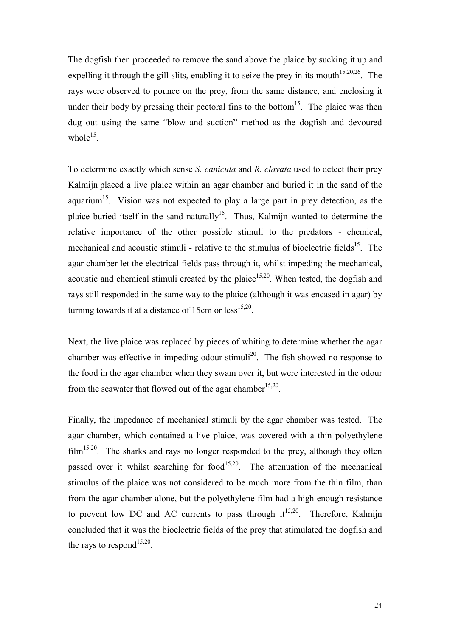The dogfish then proceeded to remove the sand above the plaice by sucking it up and expelling it through the gill slits, enabling it to seize the prey in its mouth<sup>15,20,26</sup>. The rays were observed to pounce on the prey, from the same distance, and enclosing it under their body by pressing their pectoral fins to the bottom<sup>15</sup>. The plaice was then dug out using the same "blow and suction" method as the dogfish and devoured whole $^{15}$ .

To determine exactly which sense *S. canicula* and *R. clavata* used to detect their prey Kalmijn placed a live plaice within an agar chamber and buried it in the sand of the aquarium<sup>15</sup>. Vision was not expected to play a large part in prey detection, as the plaice buried itself in the sand naturally<sup>15</sup>. Thus, Kalmijn wanted to determine the relative importance of the other possible stimuli to the predators - chemical, mechanical and acoustic stimuli - relative to the stimulus of bioelectric fields<sup>15</sup>. The agar chamber let the electrical fields pass through it, whilst impeding the mechanical, acoustic and chemical stimuli created by the plaice<sup>15,20</sup>. When tested, the dogfish and rays still responded in the same way to the plaice (although it was encased in agar) by turning towards it at a distance of 15cm or  $\text{less}^{15,20}$ .

Next, the live plaice was replaced by pieces of whiting to determine whether the agar chamber was effective in impeding odour stimuli<sup>20</sup>. The fish showed no response to the food in the agar chamber when they swam over it, but were interested in the odour from the seawater that flowed out of the agar chamber<sup>15,20</sup>.

Finally, the impedance of mechanical stimuli by the agar chamber was tested. The agar chamber, which contained a live plaice, was covered with a thin polyethylene  $film<sup>15,20</sup>$ . The sharks and rays no longer responded to the prey, although they often passed over it whilst searching for food<sup>15,20</sup>. The attenuation of the mechanical stimulus of the plaice was not considered to be much more from the thin film, than from the agar chamber alone, but the polyethylene film had a high enough resistance to prevent low DC and AC currents to pass through  $it^{15,20}$ . Therefore, Kalmijn concluded that it was the bioelectric fields of the prey that stimulated the dogfish and the rays to respond<sup>15,20</sup>.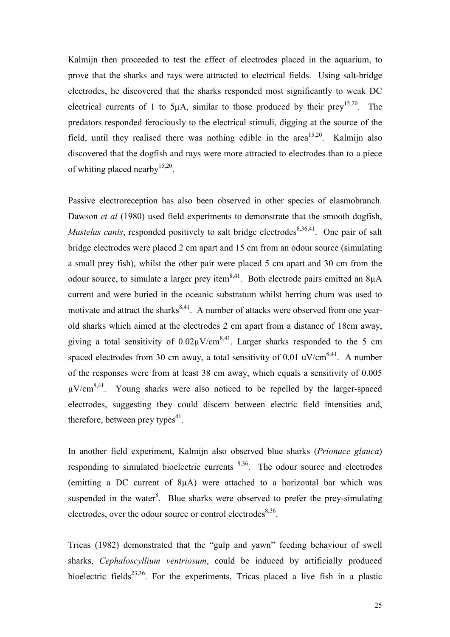Kalmijn then proceeded to test the effect of electrodes placed in the aquarium, to prove that the sharks and rays were attracted to electrical fields. Using salt-bridge electrodes, he discovered that the sharks responded most significantly to weak DC electrical currents of 1 to 5 $\mu$ A, similar to those produced by their prey<sup>15,20</sup>. The predators responded ferociously to the electrical stimuli, digging at the source of the field, until they realised there was nothing edible in the area<sup>15,20</sup>. Kalmijn also discovered that the dogfish and rays were more attracted to electrodes than to a piece of whiting placed nearby  $15,20$ .

Passive electroreception has also been observed in other species of elasmobranch. Dawson *et al* (1980) used field experiments to demonstrate that the smooth dogfish, *Mustelus canis*, responded positively to salt bridge electrodes<sup>8,36,41</sup>. One pair of salt bridge electrodes were placed 2 cm apart and 15 cm from an odour source (simulating a small prey fish), whilst the other pair were placed 5 cm apart and 30 cm from the odour source, to simulate a larger prey item<sup>8,41</sup>. Both electrode pairs emitted an  $8\mu A$ current and were buried in the oceanic substratum whilst herring chum was used to motivate and attract the sharks $8,41$ . A number of attacks were observed from one yearold sharks which aimed at the electrodes 2 cm apart from a distance of 18cm away, giving a total sensitivity of  $0.02\mu$ V/cm<sup>8,41</sup>. Larger sharks responded to the 5 cm spaced electrodes from 30 cm away, a total sensitivity of 0.01 uV/cm<sup>8,41</sup>. A number of the responses were from at least 38 cm away, which equals a sensitivity of 0.005  $\mu$ V/cm<sup>8,41</sup>. Young sharks were also noticed to be repelled by the larger-spaced electrodes, suggesting they could discern between electric field intensities and, therefore, between prey types<sup>41</sup>.

In another field experiment, Kalmijn also observed blue sharks (*Prionace glauca*) responding to simulated bioelectric currents 8,36. The odour source and electrodes (emitting a DC current of 8µA) were attached to a horizontal bar which was suspended in the water $8$ . Blue sharks were observed to prefer the prey-simulating electrodes, over the odour source or control electrodes $8,36$ .

Tricas (1982) demonstrated that the "gulp and yawn" feeding behaviour of swell sharks, *Cephaloscyllium ventriosum*, could be induced by artificially produced bioelectric fields<sup>23,36</sup>. For the experiments, Tricas placed a live fish in a plastic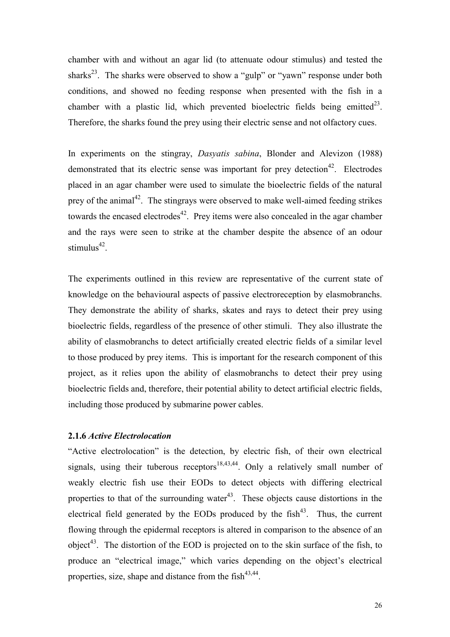chamber with and without an agar lid (to attenuate odour stimulus) and tested the sharks<sup>23</sup>. The sharks were observed to show a "gulp" or "yawn" response under both conditions, and showed no feeding response when presented with the fish in a chamber with a plastic lid, which prevented bioelectric fields being emitted<sup>23</sup>. Therefore, the sharks found the prey using their electric sense and not olfactory cues.

In experiments on the stingray, *Dasyatis sabina*, Blonder and Alevizon (1988) demonstrated that its electric sense was important for prey detection<sup>42</sup>. Electrodes placed in an agar chamber were used to simulate the bioelectric fields of the natural prey of the animal<sup>42</sup>. The stingrays were observed to make well-aimed feeding strikes towards the encased electrodes<sup>42</sup>. Prey items were also concealed in the agar chamber and the rays were seen to strike at the chamber despite the absence of an odour stimulus $42$ .

The experiments outlined in this review are representative of the current state of knowledge on the behavioural aspects of passive electroreception by elasmobranchs. They demonstrate the ability of sharks, skates and rays to detect their prey using bioelectric fields, regardless of the presence of other stimuli. They also illustrate the ability of elasmobranchs to detect artificially created electric fields of a similar level to those produced by prey items. This is important for the research component of this project, as it relies upon the ability of elasmobranchs to detect their prey using bioelectric fields and, therefore, their potential ability to detect artificial electric fields, including those produced by submarine power cables.

## **2.1.6** *Active Electrolocation*

"Active electrolocation" is the detection, by electric fish, of their own electrical signals, using their tuberous receptors<sup>18,43,44</sup>. Only a relatively small number of weakly electric fish use their EODs to detect objects with differing electrical properties to that of the surrounding water $43$ . These objects cause distortions in the electrical field generated by the EODs produced by the  $fish<sup>43</sup>$ . Thus, the current flowing through the epidermal receptors is altered in comparison to the absence of an object<sup>43</sup>. The distortion of the EOD is projected on to the skin surface of the fish, to produce an "electrical image," which varies depending on the object's electrical properties, size, shape and distance from the  $fish^{43,44}$ .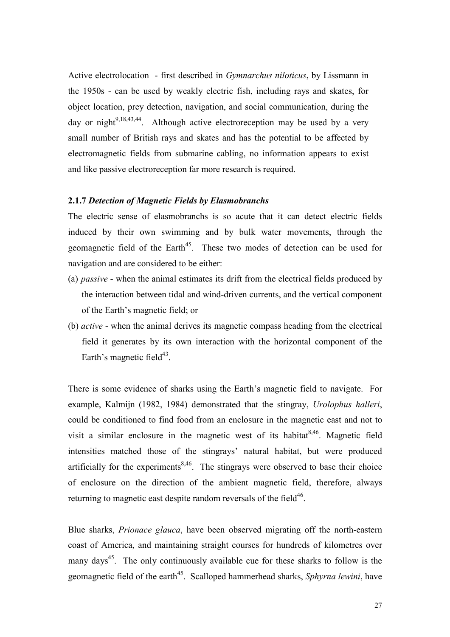Active electrolocation - first described in *Gymnarchus niloticus*, by Lissmann in the 1950s - can be used by weakly electric fish, including rays and skates, for object location, prey detection, navigation, and social communication, during the day or night<sup>9,18,43,44</sup>. Although active electroreception may be used by a very small number of British rays and skates and has the potential to be affected by electromagnetic fields from submarine cabling, no information appears to exist and like passive electroreception far more research is required.

### **2.1.7** *Detection of Magnetic Fields by Elasmobranchs*

The electric sense of elasmobranchs is so acute that it can detect electric fields induced by their own swimming and by bulk water movements, through the geomagnetic field of the Earth<sup>45</sup>. These two modes of detection can be used for navigation and are considered to be either:

- (a) *passive* when the animal estimates its drift from the electrical fields produced by the interaction between tidal and wind-driven currents, and the vertical component of the Earth's magnetic field; or
- (b) *active* when the animal derives its magnetic compass heading from the electrical field it generates by its own interaction with the horizontal component of the Earth's magnetic field $43$ .

There is some evidence of sharks using the Earth's magnetic field to navigate. For example, Kalmijn (1982, 1984) demonstrated that the stingray, *Urolophus halleri*, could be conditioned to find food from an enclosure in the magnetic east and not to visit a similar enclosure in the magnetic west of its habitat<sup>8,46</sup>. Magnetic field intensities matched those of the stingrays' natural habitat, but were produced artificially for the experiments<sup>8,46</sup>. The stingrays were observed to base their choice of enclosure on the direction of the ambient magnetic field, therefore, always returning to magnetic east despite random reversals of the field<sup>46</sup>.

Blue sharks, *Prionace glauca*, have been observed migrating off the north-eastern coast of America, and maintaining straight courses for hundreds of kilometres over many days<sup>45</sup>. The only continuously available cue for these sharks to follow is the geomagnetic field of the earth<sup>45</sup>. Scalloped hammerhead sharks, *Sphyrna lewini*, have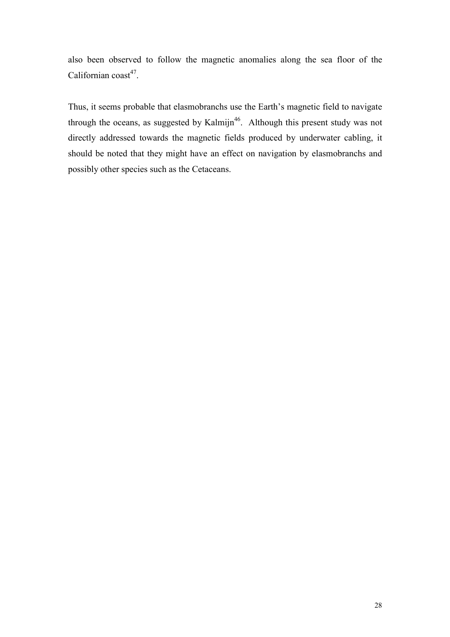also been observed to follow the magnetic anomalies along the sea floor of the Californian  $\text{const}^{47}$ .

Thus, it seems probable that elasmobranchs use the Earth's magnetic field to navigate through the oceans, as suggested by Kalmijn<sup>46</sup>. Although this present study was not directly addressed towards the magnetic fields produced by underwater cabling, it should be noted that they might have an effect on navigation by elasmobranchs and possibly other species such as the Cetaceans.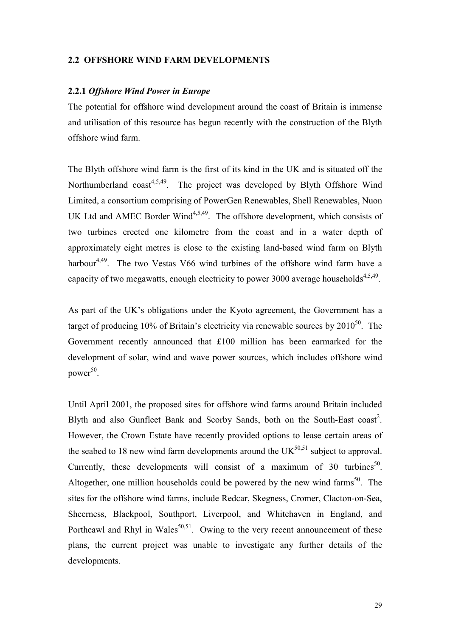### **2.2 OFFSHORE WIND FARM DEVELOPMENTS**

#### **2.2.1** *Offshore Wind Power in Europe*

The potential for offshore wind development around the coast of Britain is immense and utilisation of this resource has begun recently with the construction of the Blyth offshore wind farm.

The Blyth offshore wind farm is the first of its kind in the UK and is situated off the Northumberland  $\text{cosat}^{4,5,49}$ . The project was developed by Blyth Offshore Wind Limited, a consortium comprising of PowerGen Renewables, Shell Renewables, Nuon UK Ltd and AMEC Border Wind $4,5,49$ . The offshore development, which consists of two turbines erected one kilometre from the coast and in a water depth of approximately eight metres is close to the existing land-based wind farm on Blyth harbour<sup>4,49</sup>. The two Vestas V66 wind turbines of the offshore wind farm have a capacity of two megawatts, enough electricity to power 3000 average households<sup>4,5,49</sup>.

As part of the UK's obligations under the Kyoto agreement, the Government has a target of producing  $10\%$  of Britain's electricity via renewable sources by  $2010^{50}$ . The Government recently announced that £100 million has been earmarked for the development of solar, wind and wave power sources, which includes offshore wind power $50$ .

Until April 2001, the proposed sites for offshore wind farms around Britain included Blyth and also Gunfleet Bank and Scorby Sands, both on the South-East  $\text{const}^2$ . However, the Crown Estate have recently provided options to lease certain areas of the seabed to 18 new wind farm developments around the  $UK<sup>50,51</sup>$  subject to approval. Currently, these developments will consist of a maximum of 30 turbines<sup>50</sup>. Altogether, one million households could be powered by the new wind farms<sup>50</sup>. The sites for the offshore wind farms, include Redcar, Skegness, Cromer, Clacton-on-Sea, Sheerness, Blackpool, Southport, Liverpool, and Whitehaven in England, and Porthcawl and Rhyl in Wales<sup>50,51</sup>. Owing to the very recent announcement of these plans, the current project was unable to investigate any further details of the developments.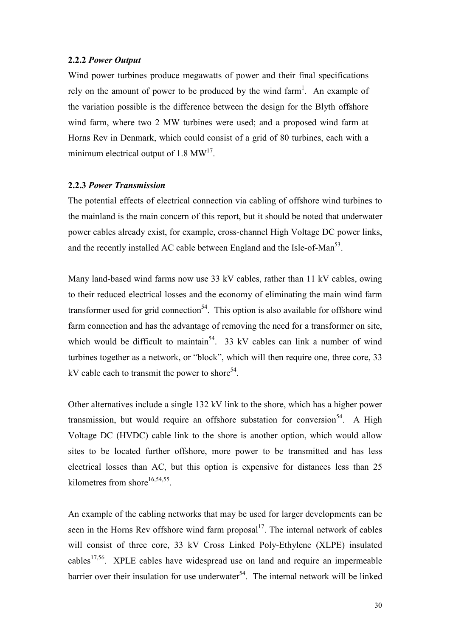### **2.2.2** *Power Output*

Wind power turbines produce megawatts of power and their final specifications rely on the amount of power to be produced by the wind farm<sup>1</sup>. An example of the variation possible is the difference between the design for the Blyth offshore wind farm, where two 2 MW turbines were used; and a proposed wind farm at Horns Rev in Denmark, which could consist of a grid of 80 turbines, each with a minimum electrical output of 1.8  $MW<sup>17</sup>$ .

#### **2.2.3** *Power Transmission*

The potential effects of electrical connection via cabling of offshore wind turbines to the mainland is the main concern of this report, but it should be noted that underwater power cables already exist, for example, cross-channel High Voltage DC power links, and the recently installed AC cable between England and the Isle-of-Man<sup>53</sup>.

Many land-based wind farms now use 33 kV cables, rather than 11 kV cables, owing to their reduced electrical losses and the economy of eliminating the main wind farm transformer used for grid connection<sup>54</sup>. This option is also available for offshore wind farm connection and has the advantage of removing the need for a transformer on site, which would be difficult to maintain<sup>54</sup>. 33 kV cables can link a number of wind turbines together as a network, or "block", which will then require one, three core, 33 kV cable each to transmit the power to shore<sup>54</sup>.

Other alternatives include a single 132 kV link to the shore, which has a higher power transmission, but would require an offshore substation for conversion<sup>54</sup>. A High Voltage DC (HVDC) cable link to the shore is another option, which would allow sites to be located further offshore, more power to be transmitted and has less electrical losses than AC, but this option is expensive for distances less than 25 kilometres from shore<sup>16,54,55</sup>.

An example of the cabling networks that may be used for larger developments can be seen in the Horns Rev offshore wind farm proposal<sup>17</sup>. The internal network of cables will consist of three core, 33 kV Cross Linked Poly-Ethylene (XLPE) insulated cables<sup>17,56</sup>. XPLE cables have widespread use on land and require an impermeable barrier over their insulation for use underwater<sup>54</sup>. The internal network will be linked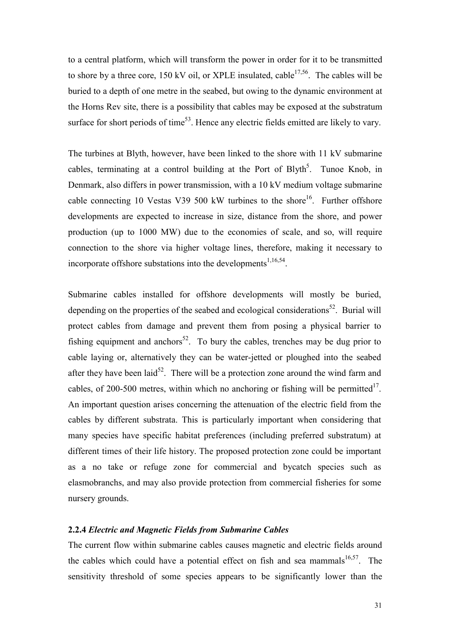to a central platform, which will transform the power in order for it to be transmitted to shore by a three core,  $150 \text{ kV}$  oil, or XPLE insulated, cable  $17,56$ . The cables will be buried to a depth of one metre in the seabed, but owing to the dynamic environment at the Horns Rev site, there is a possibility that cables may be exposed at the substratum surface for short periods of time<sup>53</sup>. Hence any electric fields emitted are likely to vary.

The turbines at Blyth, however, have been linked to the shore with 11 kV submarine cables, terminating at a control building at the Port of Blyth<sup>5</sup>. Tunoe Knob, in Denmark, also differs in power transmission, with a 10 kV medium voltage submarine cable connecting 10 Vestas V39 500 kW turbines to the shore<sup>16</sup>. Further offshore developments are expected to increase in size, distance from the shore, and power production (up to 1000 MW) due to the economies of scale, and so, will require connection to the shore via higher voltage lines, therefore, making it necessary to incorporate offshore substations into the developments $1,16,54$ .

Submarine cables installed for offshore developments will mostly be buried, depending on the properties of the seabed and ecological considerations<sup>52</sup>. Burial will protect cables from damage and prevent them from posing a physical barrier to fishing equipment and anchors<sup>52</sup>. To bury the cables, trenches may be dug prior to cable laying or, alternatively they can be water-jetted or ploughed into the seabed after they have been laid<sup>52</sup>. There will be a protection zone around the wind farm and cables, of 200-500 metres, within which no anchoring or fishing will be permitted<sup>17</sup>. An important question arises concerning the attenuation of the electric field from the cables by different substrata. This is particularly important when considering that many species have specific habitat preferences (including preferred substratum) at different times of their life history. The proposed protection zone could be important as a no take or refuge zone for commercial and bycatch species such as elasmobranchs, and may also provide protection from commercial fisheries for some nursery grounds.

# **2.2.4** *Electric and Magnetic Fields from Submarine Cables*

The current flow within submarine cables causes magnetic and electric fields around the cables which could have a potential effect on fish and sea mammals<sup>16,57</sup>. The sensitivity threshold of some species appears to be significantly lower than the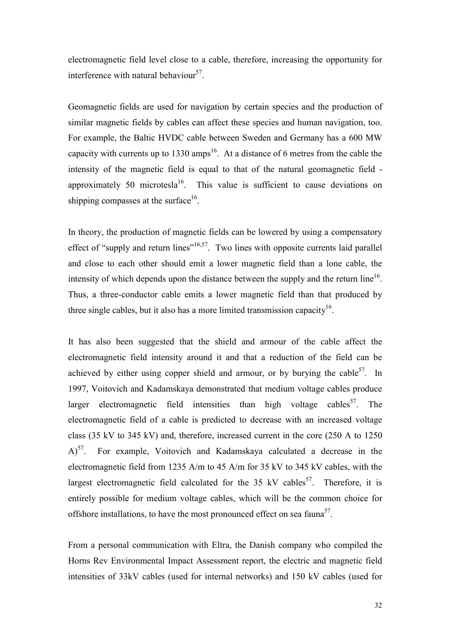electromagnetic field level close to a cable, therefore, increasing the opportunity for interference with natural behaviour<sup>57</sup>.

Geomagnetic fields are used for navigation by certain species and the production of similar magnetic fields by cables can affect these species and human navigation, too. For example, the Baltic HVDC cable between Sweden and Germany has a 600 MW capacity with currents up to 1330 amps<sup>16</sup>. At a distance of 6 metres from the cable the intensity of the magnetic field is equal to that of the natural geomagnetic field approximately 50 microtesla<sup>16</sup>. This value is sufficient to cause deviations on shipping compasses at the surface  $16$ .

In theory, the production of magnetic fields can be lowered by using a compensatory effect of "supply and return lines"<sup>16,57</sup>. Two lines with opposite currents laid parallel and close to each other should emit a lower magnetic field than a lone cable, the intensity of which depends upon the distance between the supply and the return  $\text{line}^{16}$ . Thus, a three-conductor cable emits a lower magnetic field than that produced by three single cables, but it also has a more limited transmission capacity<sup>16</sup>.

It has also been suggested that the shield and armour of the cable affect the electromagnetic field intensity around it and that a reduction of the field can be achieved by either using copper shield and armour, or by burying the cable  $57$ . In 1997, Voitovich and Kadamskaya demonstrated that medium voltage cables produce larger electromagnetic field intensities than high voltage cables<sup>57</sup>. The electromagnetic field of a cable is predicted to decrease with an increased voltage class (35 kV to 345 kV) and, therefore, increased current in the core (250 A to 1250  $(A)^{57}$ . For example, Voitovich and Kadamskaya calculated a decrease in the electromagnetic field from 1235 A/m to 45 A/m for 35 kV to 345 kV cables, with the largest electromagnetic field calculated for the 35 kV cables<sup>57</sup>. Therefore, it is entirely possible for medium voltage cables, which will be the common choice for offshore installations, to have the most pronounced effect on sea fauna<sup>57</sup>.

From a personal communication with Eltra, the Danish company who compiled the Horns Rev Environmental Impact Assessment report, the electric and magnetic field intensities of 33kV cables (used for internal networks) and 150 kV cables (used for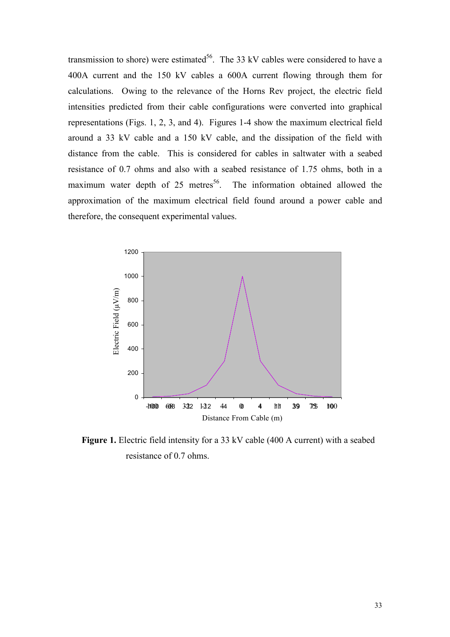transmission to shore) were estimated<sup>56</sup>. The 33 kV cables were considered to have a 400A current and the 150 kV cables a 600A current flowing through them for calculations. Owing to the relevance of the Horns Rev project, the electric field intensities predicted from their cable configurations were converted into graphical representations (Figs. 1, 2, 3, and 4). Figures 1-4 show the maximum electrical field around a 33 kV cable and a 150 kV cable, and the dissipation of the field with distance from the cable. This is considered for cables in saltwater with a seabed resistance of 0.7 ohms and also with a seabed resistance of 1.75 ohms, both in a maximum water depth of 25 metres<sup>56</sup>. The information obtained allowed the approximation of the maximum electrical field found around a power cable and therefore, the consequent experimental values.



**Figure 1.** Electric field intensity for a 33 kV cable (400 A current) with a seabed resistance of 0.7 ohms.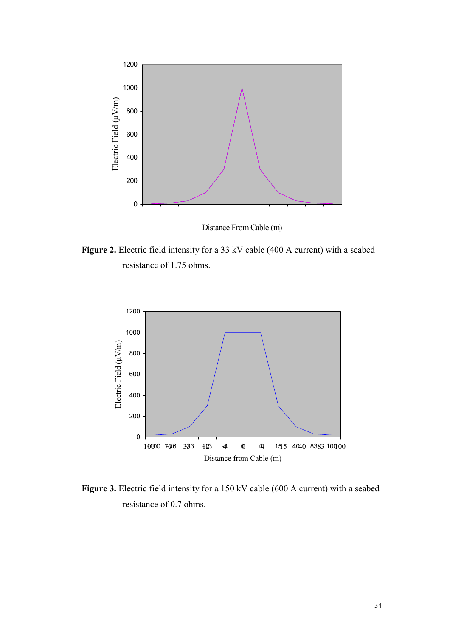

Distance From Cable (m)

Figure 2. Electric field intensity for a 33 kV cable (400 A current) with a seabed resistance of 1.75 ohms.



Figure 3. Electric field intensity for a 150 kV cable (600 A current) with a seabed resistance of 0.7 ohms.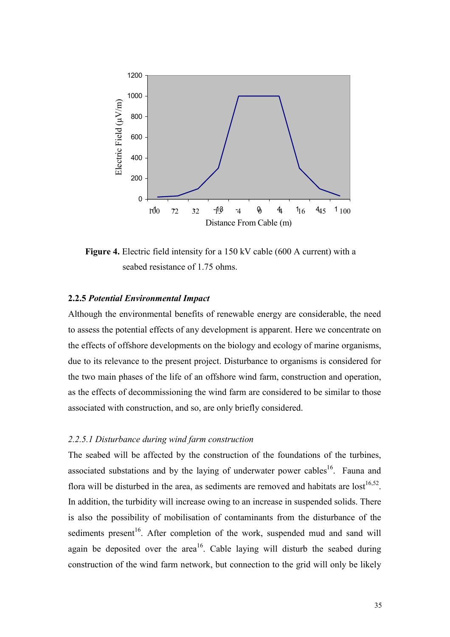

**Figure 4.** Electric field intensity for a 150 kV cable (600 A current) with a seabed resistance of 1.75 ohms.

### **2.2.5** *Potential Environmental Impact*

Although the environmental benefits of renewable energy are considerable, the need to assess the potential effects of any development is apparent. Here we concentrate on the effects of offshore developments on the biology and ecology of marine organisms, due to its relevance to the present project. Disturbance to organisms is considered for the two main phases of the life of an offshore wind farm, construction and operation, as the effects of decommissioning the wind farm are considered to be similar to those associated with construction, and so, are only briefly considered.

### *2.2.5.1 Disturbance during wind farm construction*

The seabed will be affected by the construction of the foundations of the turbines, associated substations and by the laying of underwater power cables<sup>16</sup>. Fauna and flora will be disturbed in the area, as sediments are removed and habitats are  $\text{lost}^{16,52}$ . In addition, the turbidity will increase owing to an increase in suspended solids. There is also the possibility of mobilisation of contaminants from the disturbance of the sediments present<sup>16</sup>. After completion of the work, suspended mud and sand will again be deposited over the area<sup>16</sup>. Cable laying will disturb the seabed during construction of the wind farm network, but connection to the grid will only be likely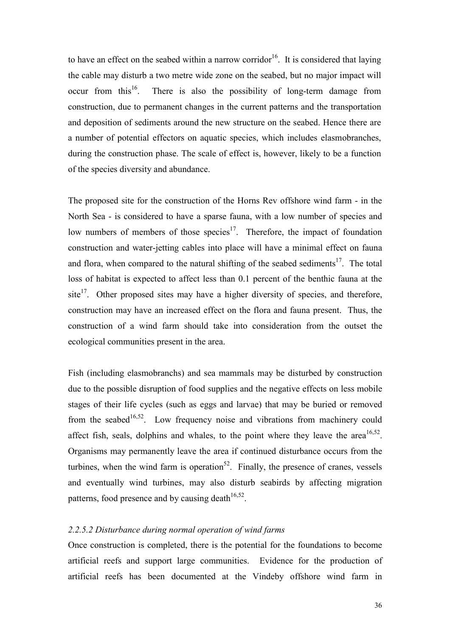to have an effect on the seabed within a narrow corridor<sup>16</sup>. It is considered that laying the cable may disturb a two metre wide zone on the seabed, but no major impact will occur from this<sup>16</sup>. There is also the possibility of long-term damage from construction, due to permanent changes in the current patterns and the transportation and deposition of sediments around the new structure on the seabed. Hence there are a number of potential effectors on aquatic species, which includes elasmobranches, during the construction phase. The scale of effect is, however, likely to be a function of the species diversity and abundance.

The proposed site for the construction of the Horns Rev offshore wind farm - in the North Sea - is considered to have a sparse fauna, with a low number of species and low numbers of members of those species<sup>17</sup>. Therefore, the impact of foundation construction and water-jetting cables into place will have a minimal effect on fauna and flora, when compared to the natural shifting of the seabed sediments<sup>17</sup>. The total loss of habitat is expected to affect less than 0.1 percent of the benthic fauna at the site $17$ . Other proposed sites may have a higher diversity of species, and therefore, construction may have an increased effect on the flora and fauna present. Thus, the construction of a wind farm should take into consideration from the outset the ecological communities present in the area.

Fish (including elasmobranchs) and sea mammals may be disturbed by construction due to the possible disruption of food supplies and the negative effects on less mobile stages of their life cycles (such as eggs and larvae) that may be buried or removed from the seabed<sup>16,52</sup>. Low frequency noise and vibrations from machinery could affect fish, seals, dolphins and whales, to the point where they leave the area<sup>16,52</sup>. Organisms may permanently leave the area if continued disturbance occurs from the turbines, when the wind farm is operation $52$ . Finally, the presence of cranes, vessels and eventually wind turbines, may also disturb seabirds by affecting migration patterns, food presence and by causing death $16,52$ .

## *2.2.5.2 Disturbance during normal operation of wind farms*

Once construction is completed, there is the potential for the foundations to become artificial reefs and support large communities. Evidence for the production of artificial reefs has been documented at the Vindeby offshore wind farm in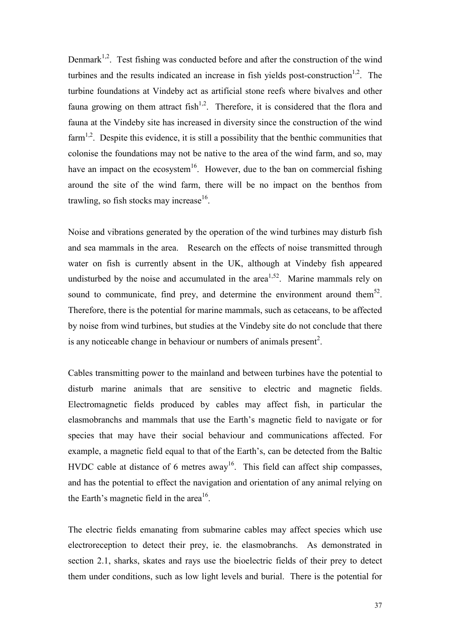Denmark<sup>1,2</sup>. Test fishing was conducted before and after the construction of the wind turbines and the results indicated an increase in fish yields post-construction<sup>1,2</sup>. The turbine foundations at Vindeby act as artificial stone reefs where bivalves and other fauna growing on them attract  $fish<sup>1,2</sup>$ . Therefore, it is considered that the flora and fauna at the Vindeby site has increased in diversity since the construction of the wind farm<sup>1,2</sup>. Despite this evidence, it is still a possibility that the benthic communities that colonise the foundations may not be native to the area of the wind farm, and so, may have an impact on the ecosystem<sup>16</sup>. However, due to the ban on commercial fishing around the site of the wind farm, there will be no impact on the benthos from trawling, so fish stocks may increase<sup>16</sup>.

Noise and vibrations generated by the operation of the wind turbines may disturb fish and sea mammals in the area. Research on the effects of noise transmitted through water on fish is currently absent in the UK, although at Vindeby fish appeared undisturbed by the noise and accumulated in the area<sup>1,52</sup>. Marine mammals rely on sound to communicate, find prey, and determine the environment around them<sup>52</sup>. Therefore, there is the potential for marine mammals, such as cetaceans, to be affected by noise from wind turbines, but studies at the Vindeby site do not conclude that there is any noticeable change in behaviour or numbers of animals present<sup>2</sup>.

Cables transmitting power to the mainland and between turbines have the potential to disturb marine animals that are sensitive to electric and magnetic fields. Electromagnetic fields produced by cables may affect fish, in particular the elasmobranchs and mammals that use the Earth's magnetic field to navigate or for species that may have their social behaviour and communications affected. For example, a magnetic field equal to that of the Earth's, can be detected from the Baltic HVDC cable at distance of 6 metres away<sup>16</sup>. This field can affect ship compasses, and has the potential to effect the navigation and orientation of any animal relying on the Earth's magnetic field in the area<sup>16</sup>.

The electric fields emanating from submarine cables may affect species which use electroreception to detect their prey, ie. the elasmobranchs. As demonstrated in section 2.1, sharks, skates and rays use the bioelectric fields of their prey to detect them under conditions, such as low light levels and burial. There is the potential for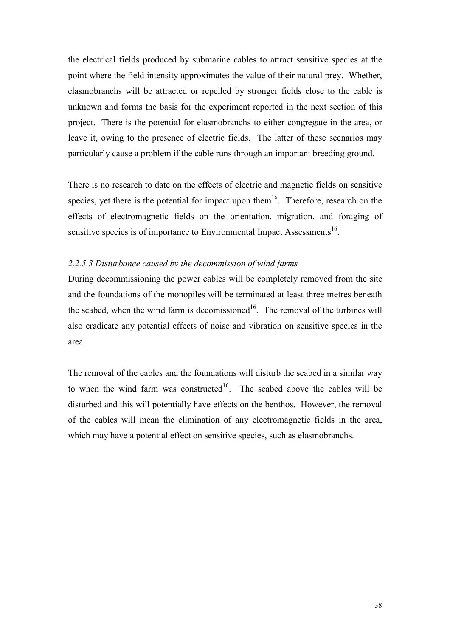the electrical fields produced by submarine cables to attract sensitive species at the point where the field intensity approximates the value of their natural prey. Whether, elasmobranchs will be attracted or repelled by stronger fields close to the cable is unknown and forms the basis for the experiment reported in the next section of this project. There is the potential for elasmobranchs to either congregate in the area, or leave it, owing to the presence of electric fields. The latter of these scenarios may particularly cause a problem if the cable runs through an important breeding ground.

There is no research to date on the effects of electric and magnetic fields on sensitive species, yet there is the potential for impact upon them<sup>16</sup>. Therefore, research on the effects of electromagnetic fields on the orientation, migration, and foraging of sensitive species is of importance to Environmental Impact Assessments<sup>16</sup>.

### *2.2.5.3 Disturbance caused by the decommission of wind farms*

During decommissioning the power cables will be completely removed from the site and the foundations of the monopiles will be terminated at least three metres beneath the seabed, when the wind farm is decomissioned<sup>16</sup>. The removal of the turbines will also eradicate any potential effects of noise and vibration on sensitive species in the area.

The removal of the cables and the foundations will disturb the seabed in a similar way to when the wind farm was constructed<sup>16</sup>. The seabed above the cables will be disturbed and this will potentially have effects on the benthos. However, the removal of the cables will mean the elimination of any electromagnetic fields in the area, which may have a potential effect on sensitive species, such as elasmobranchs.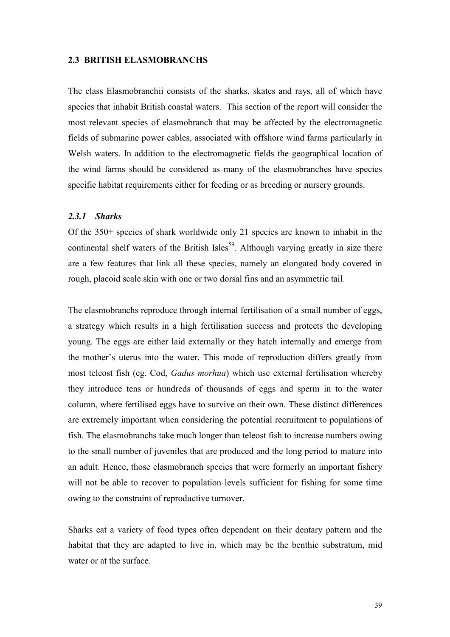#### **2.3 BRITISH ELASMOBRANCHS**

The class Elasmobranchii consists of the sharks, skates and rays, all of which have species that inhabit British coastal waters. This section of the report will consider the most relevant species of elasmobranch that may be affected by the electromagnetic fields of submarine power cables, associated with offshore wind farms particularly in Welsh waters. In addition to the electromagnetic fields the geographical location of the wind farms should be considered as many of the elasmobranches have species specific habitat requirements either for feeding or as breeding or nursery grounds.

## *2.3.1 Sharks*

Of the 350+ species of shark worldwide only 21 species are known to inhabit in the continental shelf waters of the British Isles<sup>59</sup>. Although varying greatly in size there are a few features that link all these species, namely an elongated body covered in rough, placoid scale skin with one or two dorsal fins and an asymmetric tail.

The elasmobranchs reproduce through internal fertilisation of a small number of eggs, a strategy which results in a high fertilisation success and protects the developing young. The eggs are either laid externally or they hatch internally and emerge from the mother's uterus into the water. This mode of reproduction differs greatly from most teleost fish (eg. Cod, *Gadus morhua*) which use external fertilisation whereby they introduce tens or hundreds of thousands of eggs and sperm in to the water column, where fertilised eggs have to survive on their own. These distinct differences are extremely important when considering the potential recruitment to populations of fish. The elasmobranchs take much longer than teleost fish to increase numbers owing to the small number of juveniles that are produced and the long period to mature into an adult. Hence, those elasmobranch species that were formerly an important fishery will not be able to recover to population levels sufficient for fishing for some time owing to the constraint of reproductive turnover.

Sharks eat a variety of food types often dependent on their dentary pattern and the habitat that they are adapted to live in, which may be the benthic substratum, mid water or at the surface.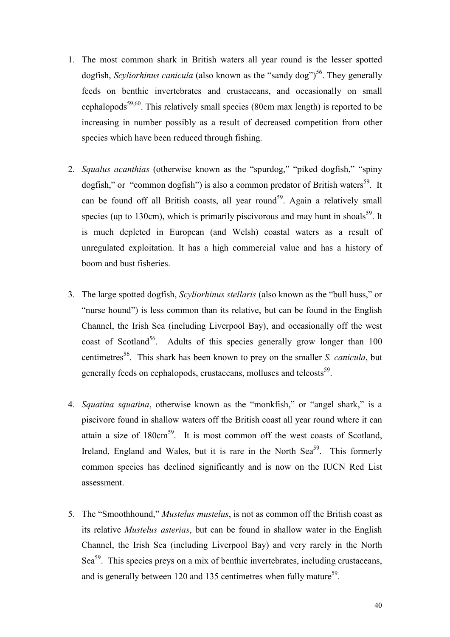- 1. The most common shark in British waters all year round is the lesser spotted dogfish, *Scyliorhinus canicula* (also known as the "sandy dog") 56. They generally feeds on benthic invertebrates and crustaceans, and occasionally on small cephalopods<sup>59,60</sup>. This relatively small species (80cm max length) is reported to be increasing in number possibly as a result of decreased competition from other species which have been reduced through fishing.
- 2. *Squalus acanthias* (otherwise known as the "spurdog," "piked dogfish," "spiny dogfish," or "common dogfish") is also a common predator of British waters<sup>59</sup>. It can be found off all British coasts, all year round<sup>59</sup>. Again a relatively small species (up to 130cm), which is primarily piscivorous and may hunt in shoals<sup>59</sup>. It is much depleted in European (and Welsh) coastal waters as a result of unregulated exploitation. It has a high commercial value and has a history of boom and bust fisheries.
- 3. The large spotted dogfish, *Scyliorhinus stellaris* (also known as the "bull huss," or "nurse hound") is less common than its relative, but can be found in the English Channel, the Irish Sea (including Liverpool Bay), and occasionally off the west coast of Scotland<sup>56</sup>. Adults of this species generally grow longer than  $100$ centimetres 56. This shark has been known to prey on the smaller *S. canicula*, but generally feeds on cephalopods, crustaceans, molluscs and teleosts<sup>59</sup>.
- 4. *Squatina squatina*, otherwise known as the "monkfish," or "angel shark," is a piscivore found in shallow waters off the British coast all year round where it can attain a size of  $180 \text{cm}^{59}$ . It is most common off the west coasts of Scotland, Ireland, England and Wales, but it is rare in the North Sea<sup>59</sup>. This formerly common species has declined significantly and is now on the IUCN Red List assessment.
- 5. The "Smoothhound," *Mustelus mustelus*, is not as common off the British coast as its relative *Mustelus asterias*, but can be found in shallow water in the English Channel, the Irish Sea (including Liverpool Bay) and very rarely in the North Sea<sup>59</sup>. This species preys on a mix of benthic invertebrates, including crustaceans, and is generally between 120 and 135 centimetres when fully mature<sup>59</sup>.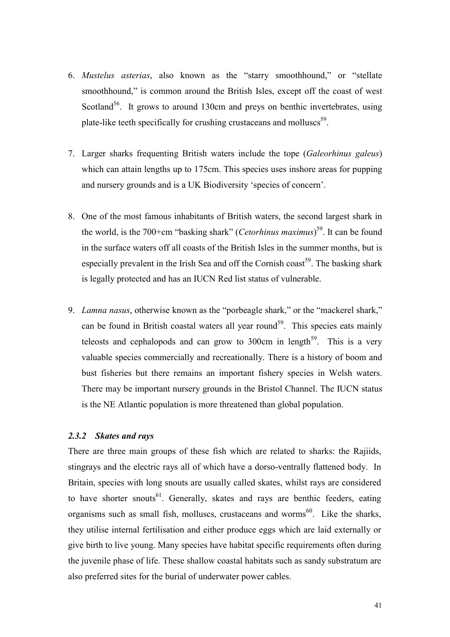- 6. *Mustelus asterias*, also known as the "starry smoothhound," or "stellate smoothhound," is common around the British Isles, except off the coast of west Scotland<sup>56</sup>. It grows to around 130cm and preys on benthic invertebrates, using plate-like teeth specifically for crushing crustaceans and molluscs<sup>59</sup>.
- 7. Larger sharks frequenting British waters include the tope (*Galeorhinus galeus*) which can attain lengths up to 175cm. This species uses inshore areas for pupping and nursery grounds and is a UK Biodiversity 'species of concern'.
- 8. One of the most famous inhabitants of British waters, the second largest shark in the world, is the 700+cm "basking shark" (*Cetorhinus maximus*) 59. It can be found in the surface waters off all coasts of the British Isles in the summer months, but is especially prevalent in the Irish Sea and off the Cornish coast<sup>59</sup>. The basking shark is legally protected and has an IUCN Red list status of vulnerable.
- 9. *Lamna nasus*, otherwise known as the "porbeagle shark," or the "mackerel shark," can be found in British coastal waters all year round<sup>59</sup>. This species eats mainly teleosts and cephalopods and can grow to  $300 \text{cm}$  in length<sup>59</sup>. This is a very valuable species commercially and recreationally. There is a history of boom and bust fisheries but there remains an important fishery species in Welsh waters. There may be important nursery grounds in the Bristol Channel. The IUCN status is the NE Atlantic population is more threatened than global population.

## *2.3.2 Skates and rays*

There are three main groups of these fish which are related to sharks: the Rajiids, stingrays and the electric rays all of which have a dorso-ventrally flattened body. In Britain, species with long snouts are usually called skates, whilst rays are considered to have shorter snouts<sup>61</sup>. Generally, skates and rays are benthic feeders, eating organisms such as small fish, molluscs, crustaceans and worms<sup>60</sup>. Like the sharks, they utilise internal fertilisation and either produce eggs which are laid externally or give birth to live young. Many species have habitat specific requirements often during the juvenile phase of life. These shallow coastal habitats such as sandy substratum are also preferred sites for the burial of underwater power cables.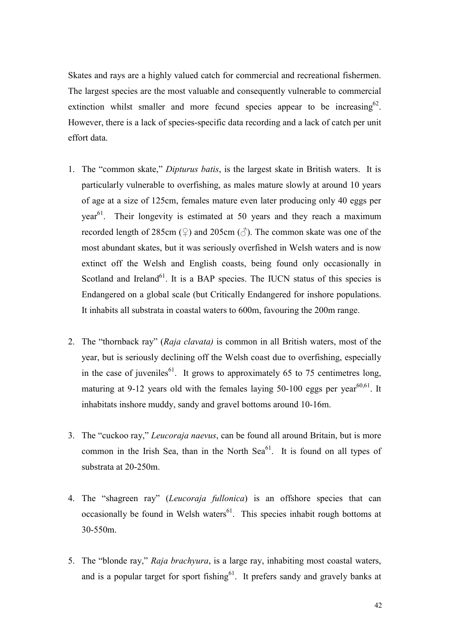Skates and rays are a highly valued catch for commercial and recreational fishermen. The largest species are the most valuable and consequently vulnerable to commercial extinction whilst smaller and more fecund species appear to be increasing  $62$ . However, there is a lack of species-specific data recording and a lack of catch per unit effort data.

- 1. The "common skate," *Dipturus batis*, is the largest skate in British waters. It is particularly vulnerable to overfishing, as males mature slowly at around 10 years of age at a size of 125cm, females mature even later producing only 40 eggs per year<sup>61</sup>. Their longevity is estimated at 50 years and they reach a maximum recorded length of 285cm ( $\circ$ ) and 205cm ( $\circ$ ). The common skate was one of the most abundant skates, but it was seriously overfished in Welsh waters and is now extinct off the Welsh and English coasts, being found only occasionally in Scotland and Ireland<sup>61</sup>. It is a BAP species. The IUCN status of this species is Endangered on a global scale (but Critically Endangered for inshore populations. It inhabits all substrata in coastal waters to 600m, favouring the 200m range.
- 2. The "thornback ray" (*Raja clavata)* is common in all British waters, most of the year, but is seriously declining off the Welsh coast due to overfishing, especially in the case of juveniles<sup>61</sup>. It grows to approximately 65 to 75 centimetres long, maturing at 9-12 years old with the females laying 50-100 eggs per year<sup>60,61</sup>. It inhabitats inshore muddy, sandy and gravel bottoms around 10-16m.
- 3. The "cuckoo ray," *Leucoraja naevus*, can be found all around Britain, but is more common in the Irish Sea, than in the North Sea $^{61}$ . It is found on all types of substrata at 20-250m.
- 4. The "shagreen ray" (*Leucoraja fullonica*) is an offshore species that can occasionally be found in Welsh waters $61$ . This species inhabit rough bottoms at 30-550m.
- 5. The "blonde ray," *Raja brachyura*, is a large ray, inhabiting most coastal waters, and is a popular target for sport fishing<sup>61</sup>. It prefers sandy and gravely banks at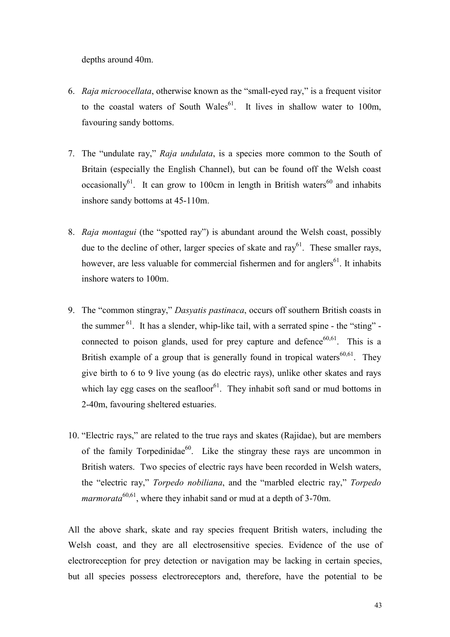depths around 40m.

- 6. *Raja microocellata*, otherwise known as the "small-eyed ray," is a frequent visitor to the coastal waters of South Wales<sup>61</sup>. It lives in shallow water to 100m, favouring sandy bottoms.
- 7. The "undulate ray," *Raja undulata*, is a species more common to the South of Britain (especially the English Channel), but can be found off the Welsh coast occasionally<sup>61</sup>. It can grow to 100cm in length in British waters<sup>60</sup> and inhabits inshore sandy bottoms at 45-110m.
- 8. *Raja montagui* (the "spotted ray") is abundant around the Welsh coast, possibly due to the decline of other, larger species of skate and  $ray<sup>61</sup>$ . These smaller rays, however, are less valuable for commercial fishermen and for anglers<sup>61</sup>. It inhabits inshore waters to 100m.
- 9. The "common stingray," *Dasyatis pastinaca*, occurs off southern British coasts in the summer  $^{61}$ . It has a slender, whip-like tail, with a serrated spine - the "sting" connected to poison glands, used for prey capture and defence  $60,61$ . This is a British example of a group that is generally found in tropical waters<sup>60,61</sup>. They give birth to 6 to 9 live young (as do electric rays), unlike other skates and rays which lay egg cases on the seafloor<sup>61</sup>. They inhabit soft sand or mud bottoms in 2-40m, favouring sheltered estuaries.
- 10. "Electric rays," are related to the true rays and skates (Rajidae), but are members of the family Torpedinidae<sup>60</sup>. Like the stingray these rays are uncommon in British waters. Two species of electric rays have been recorded in Welsh waters, the "electric ray," *Torpedo nobiliana*, and the "marbled electric ray," *Torpedo marmorata*<sup>60,61</sup>, where they inhabit sand or mud at a depth of 3-70m.

All the above shark, skate and ray species frequent British waters, including the Welsh coast, and they are all electrosensitive species. Evidence of the use of electroreception for prey detection or navigation may be lacking in certain species, but all species possess electroreceptors and, therefore, have the potential to be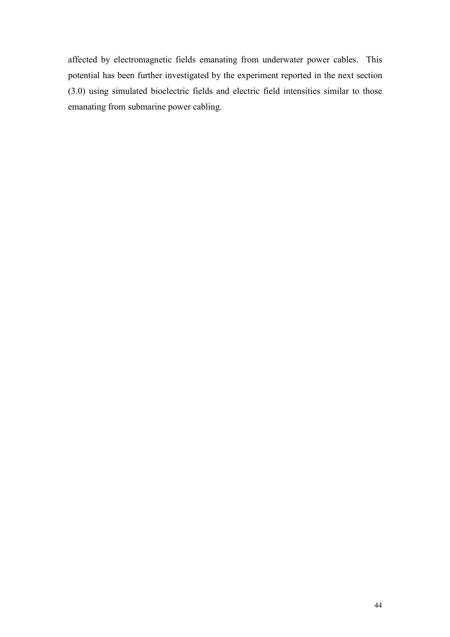affected by electromagnetic fields emanating from underwater power cables. This potential has been further investigated by the experiment reported in the next section (3.0) using simulated bioelectric fields and electric field intensities similar to those emanating from submarine power cabling.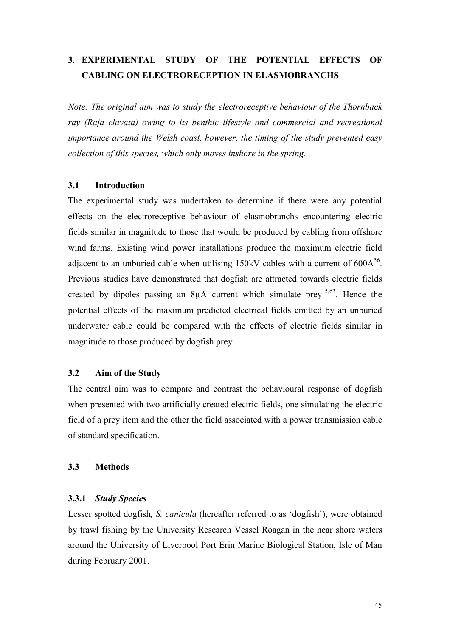# **3. EXPERIMENTAL STUDY OF THE POTENTIAL EFFECTS OF CABLING ON ELECTRORECEPTION IN ELASMOBRANCHS**

*Note: The original aim was to study the electroreceptive behaviour of the Thornback ray (Raja clavata) owing to its benthic lifestyle and commercial and recreational importance around the Welsh coast, however, the timing of the study prevented easy collection of this species, which only moves inshore in the spring.* 

### **3.1 Introduction**

The experimental study was undertaken to determine if there were any potential effects on the electroreceptive behaviour of elasmobranchs encountering electric fields similar in magnitude to those that would be produced by cabling from offshore wind farms. Existing wind power installations produce the maximum electric field adjacent to an unburied cable when utilising  $150$ kV cables with a current of  $600A^{56}$ . Previous studies have demonstrated that dogfish are attracted towards electric fields created by dipoles passing an 8 $\mu$ A current which simulate prev<sup>15,63</sup>. Hence the potential effects of the maximum predicted electrical fields emitted by an unburied underwater cable could be compared with the effects of electric fields similar in magnitude to those produced by dogfish prey.

## **3.2 Aim of the Study**

The central aim was to compare and contrast the behavioural response of dogfish when presented with two artificially created electric fields, one simulating the electric field of a prey item and the other the field associated with a power transmission cable of standard specification.

## **3.3 Methods**

## **3.3.1** *Study Species*

Lesser spotted dogfish*, S. canicula* (hereafter referred to as 'dogfish'), were obtained by trawl fishing by the University Research Vessel Roagan in the near shore waters around the University of Liverpool Port Erin Marine Biological Station, Isle of Man during February 2001.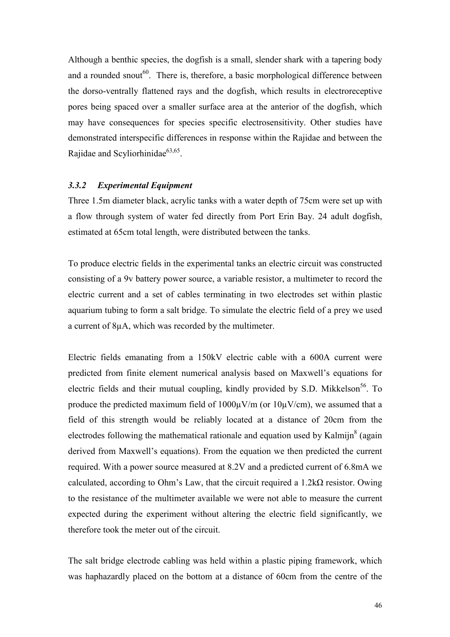Although a benthic species, the dogfish is a small, slender shark with a tapering body and a rounded snout<sup>60</sup>. There is, therefore, a basic morphological difference between the dorso-ventrally flattened rays and the dogfish, which results in electroreceptive pores being spaced over a smaller surface area at the anterior of the dogfish, which may have consequences for species specific electrosensitivity. Other studies have demonstrated interspecific differences in response within the Rajidae and between the Rajidae and Scyliorhinidae<sup>63,65</sup>.

#### *3.3.2 Experimental Equipment*

Three 1.5m diameter black, acrylic tanks with a water depth of 75cm were set up with a flow through system of water fed directly from Port Erin Bay. 24 adult dogfish, estimated at 65cm total length, were distributed between the tanks.

To produce electric fields in the experimental tanks an electric circuit was constructed consisting of a 9v battery power source, a variable resistor, a multimeter to record the electric current and a set of cables terminating in two electrodes set within plastic aquarium tubing to form a salt bridge. To simulate the electric field of a prey we used a current of 8µA, which was recorded by the multimeter.

Electric fields emanating from a 150kV electric cable with a 600A current were predicted from finite element numerical analysis based on Maxwell's equations for electric fields and their mutual coupling, kindly provided by S.D. Mikkelson<sup>56</sup>. To produce the predicted maximum field of  $1000\mu\text{V/m}$  (or  $10\mu\text{V/cm}$ ), we assumed that a field of this strength would be reliably located at a distance of 20cm from the electrodes following the mathematical rationale and equation used by Kalmijn $^8$  (again derived from Maxwell's equations). From the equation we then predicted the current required. With a power source measured at 8.2V and a predicted current of 6.8mA we calculated, according to Ohm's Law, that the circuit required a  $1.2 \text{k}\Omega$  resistor. Owing to the resistance of the multimeter available we were not able to measure the current expected during the experiment without altering the electric field significantly, we therefore took the meter out of the circuit.

The salt bridge electrode cabling was held within a plastic piping framework, which was haphazardly placed on the bottom at a distance of 60cm from the centre of the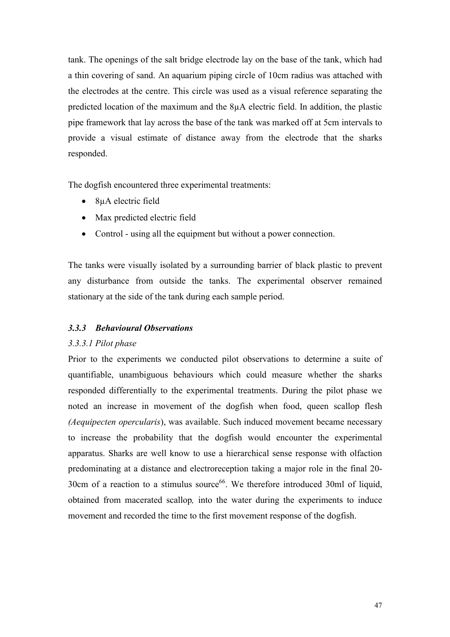tank. The openings of the salt bridge electrode lay on the base of the tank, which had a thin covering of sand. An aquarium piping circle of 10cm radius was attached with the electrodes at the centre. This circle was used as a visual reference separating the predicted location of the maximum and the 8µA electric field. In addition, the plastic pipe framework that lay across the base of the tank was marked off at 5cm intervals to provide a visual estimate of distance away from the electrode that the sharks responded.

The dogfish encountered three experimental treatments:

- 8µA electric field
- Max predicted electric field
- Control using all the equipment but without a power connection.

The tanks were visually isolated by a surrounding barrier of black plastic to prevent any disturbance from outside the tanks. The experimental observer remained stationary at the side of the tank during each sample period.

## *3.3.3 Behavioural Observations*

## *3.3.3.1 Pilot phase*

Prior to the experiments we conducted pilot observations to determine a suite of quantifiable, unambiguous behaviours which could measure whether the sharks responded differentially to the experimental treatments. During the pilot phase we noted an increase in movement of the dogfish when food, queen scallop flesh *(Aequipecten opercularis*), was available. Such induced movement became necessary to increase the probability that the dogfish would encounter the experimental apparatus. Sharks are well know to use a hierarchical sense response with olfaction predominating at a distance and electroreception taking a major role in the final 20- 30cm of a reaction to a stimulus source<sup>66</sup>. We therefore introduced 30ml of liquid, obtained from macerated scallop*,* into the water during the experiments to induce movement and recorded the time to the first movement response of the dogfish.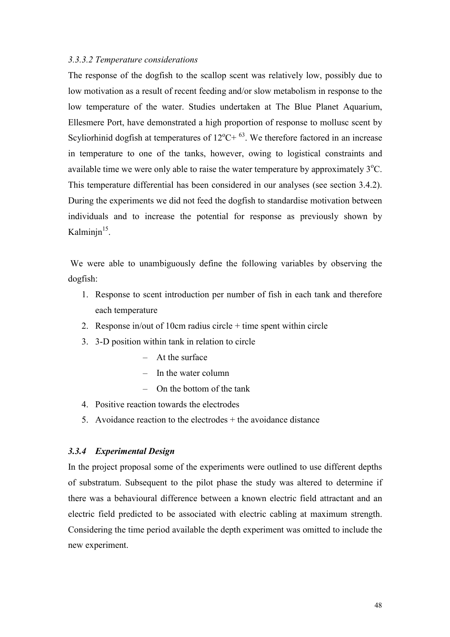#### *3.3.3.2 Temperature considerations*

The response of the dogfish to the scallop scent was relatively low, possibly due to low motivation as a result of recent feeding and/or slow metabolism in response to the low temperature of the water. Studies undertaken at The Blue Planet Aquarium, Ellesmere Port, have demonstrated a high proportion of response to mollusc scent by Scyliorhinid dogfish at temperatures of  $12^{\circ}$ C+  $^{63}$ . We therefore factored in an increase in temperature to one of the tanks, however, owing to logistical constraints and available time we were only able to raise the water temperature by approximately  $3^{\circ}$ C. This temperature differential has been considered in our analyses (see section 3.4.2). During the experiments we did not feed the dogfish to standardise motivation between individuals and to increase the potential for response as previously shown by Kalminin<sup>15</sup>.

We were able to unambiguously define the following variables by observing the dogfish:

- 1. Response to scent introduction per number of fish in each tank and therefore each temperature
- 2. Response in/out of 10cm radius circle  $+$  time spent within circle
- 3. 3-D position within tank in relation to circle
	- At the surface
	- In the water column
	- On the bottom of the tank
- 4. Positive reaction towards the electrodes
- 5. Avoidance reaction to the electrodes + the avoidance distance

### *3.3.4 Experimental Design*

In the project proposal some of the experiments were outlined to use different depths of substratum. Subsequent to the pilot phase the study was altered to determine if there was a behavioural difference between a known electric field attractant and an electric field predicted to be associated with electric cabling at maximum strength. Considering the time period available the depth experiment was omitted to include the new experiment.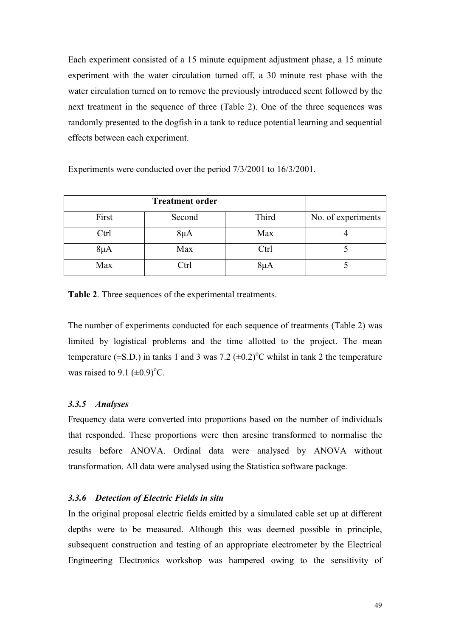Each experiment consisted of a 15 minute equipment adjustment phase, a 15 minute experiment with the water circulation turned off, a 30 minute rest phase with the water circulation turned on to remove the previously introduced scent followed by the next treatment in the sequence of three (Table 2). One of the three sequences was randomly presented to the dogfish in a tank to reduce potential learning and sequential effects between each experiment.

Experiments were conducted over the period 7/3/2001 to 16/3/2001.

| First    | Second   | Third    | No. of experiments |
|----------|----------|----------|--------------------|
| Ctrl     | $8\mu A$ | Max      |                    |
| $8\mu A$ | Max      | Ctrl     |                    |
| Max      | Ctrl     | $8\mu A$ |                    |

**Table 2**. Three sequences of the experimental treatments.

The number of experiments conducted for each sequence of treatments (Table 2) was limited by logistical problems and the time allotted to the project. The mean temperature ( $\pm$ S.D.) in tanks 1 and 3 was 7.2 ( $\pm$ 0.2)<sup>o</sup>C whilst in tank 2 the temperature was raised to  $9.1 \ (\pm 0.9)^{\circ}C$ .

## *3.3.5 Analyses*

Frequency data were converted into proportions based on the number of individuals that responded. These proportions were then arcsine transformed to normalise the results before ANOVA. Ordinal data were analysed by ANOVA without transformation. All data were analysed using the Statistica software package.

## *3.3.6 Detection of Electric Fields in situ*

In the original proposal electric fields emitted by a simulated cable set up at different depths were to be measured. Although this was deemed possible in principle, subsequent construction and testing of an appropriate electrometer by the Electrical Engineering Electronics workshop was hampered owing to the sensitivity of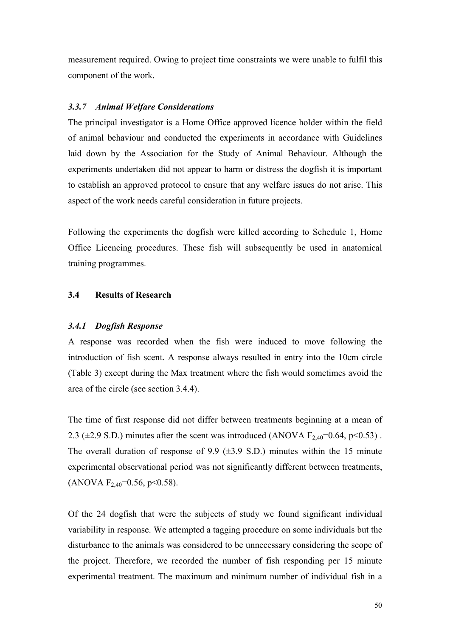measurement required. Owing to project time constraints we were unable to fulfil this component of the work.

#### *3.3.7 Animal Welfare Considerations*

The principal investigator is a Home Office approved licence holder within the field of animal behaviour and conducted the experiments in accordance with Guidelines laid down by the Association for the Study of Animal Behaviour. Although the experiments undertaken did not appear to harm or distress the dogfish it is important to establish an approved protocol to ensure that any welfare issues do not arise. This aspect of the work needs careful consideration in future projects.

Following the experiments the dogfish were killed according to Schedule 1, Home Office Licencing procedures. These fish will subsequently be used in anatomical training programmes.

## **3.4 Results of Research**

#### *3.4.1 Dogfish Response*

A response was recorded when the fish were induced to move following the introduction of fish scent. A response always resulted in entry into the 10cm circle (Table 3) except during the Max treatment where the fish would sometimes avoid the area of the circle (see section 3.4.4).

The time of first response did not differ between treatments beginning at a mean of 2.3 ( $\pm$ 2.9 S.D.) minutes after the scent was introduced (ANOVA F<sub>2,40</sub>=0.64, p<0.53). The overall duration of response of 9.9  $(\pm 3.9 \text{ S.D.})$  minutes within the 15 minute experimental observational period was not significantly different between treatments,  $(ANOVA F<sub>2,40</sub>=0.56, p<0.58).$ 

Of the 24 dogfish that were the subjects of study we found significant individual variability in response. We attempted a tagging procedure on some individuals but the disturbance to the animals was considered to be unnecessary considering the scope of the project. Therefore, we recorded the number of fish responding per 15 minute experimental treatment. The maximum and minimum number of individual fish in a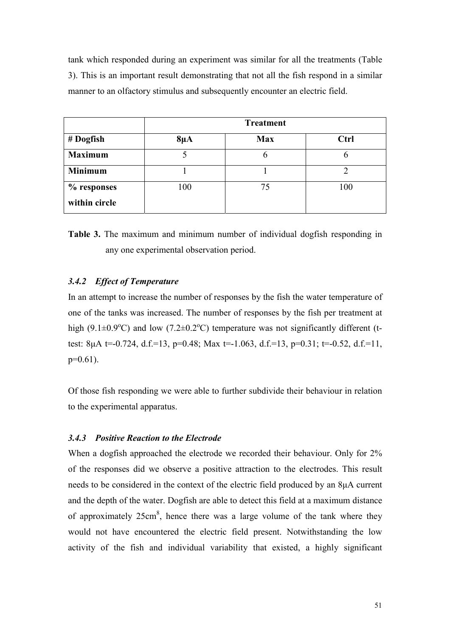tank which responded during an experiment was similar for all the treatments (Table 3). This is an important result demonstrating that not all the fish respond in a similar manner to an olfactory stimulus and subsequently encounter an electric field.

|                | <b>Treatment</b> |            |      |  |
|----------------|------------------|------------|------|--|
| # Dogfish      | $8\mu A$         | <b>Max</b> | Ctrl |  |
| <b>Maximum</b> |                  | h          |      |  |
| <b>Minimum</b> |                  |            |      |  |
| % responses    | 100              | 75         | 100  |  |
| within circle  |                  |            |      |  |



### *3.4.2 Effect of Temperature*

In an attempt to increase the number of responses by the fish the water temperature of one of the tanks was increased. The number of responses by the fish per treatment at high (9.1 $\pm$ 0.9°C) and low (7.2 $\pm$ 0.2°C) temperature was not significantly different (ttest: 8 $\mu$ A t=-0.724, d.f.=13, p=0.48; Max t=-1.063, d.f.=13, p=0.31; t=-0.52, d.f.=11,  $p=0.61$ ).

Of those fish responding we were able to further subdivide their behaviour in relation to the experimental apparatus.

### *3.4.3 Positive Reaction to the Electrode*

When a dogfish approached the electrode we recorded their behaviour. Only for 2% of the responses did we observe a positive attraction to the electrodes. This result needs to be considered in the context of the electric field produced by an 8µA current and the depth of the water. Dogfish are able to detect this field at a maximum distance of approximately 25cm<sup>8</sup>, hence there was a large volume of the tank where they would not have encountered the electric field present. Notwithstanding the low activity of the fish and individual variability that existed, a highly significant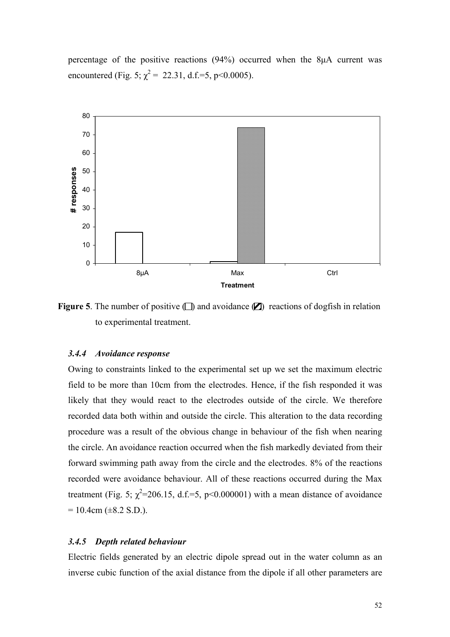percentage of the positive reactions (94%) occurred when the 8µA current was encountered (Fig. 5;  $\chi^2$  = 22.31, d.f.=5, p<0.0005).



**Figure 5**. The number of positive  $\Box$ ) and avoidance  $\Box$ ) reactions of dogfish in relation to experimental treatment.

#### *3.4.4 Avoidance response*

Owing to constraints linked to the experimental set up we set the maximum electric field to be more than 10cm from the electrodes. Hence, if the fish responded it was likely that they would react to the electrodes outside of the circle. We therefore recorded data both within and outside the circle. This alteration to the data recording procedure was a result of the obvious change in behaviour of the fish when nearing the circle. An avoidance reaction occurred when the fish markedly deviated from their forward swimming path away from the circle and the electrodes. 8% of the reactions recorded were avoidance behaviour. All of these reactions occurred during the Max treatment (Fig. 5;  $\chi^2$ =206.15, d.f.=5, p<0.000001) with a mean distance of avoidance  $= 10.4$ cm ( $\pm 8.2$  S.D.).

#### *3.4.5 Depth related behaviour*

Electric fields generated by an electric dipole spread out in the water column as an inverse cubic function of the axial distance from the dipole if all other parameters are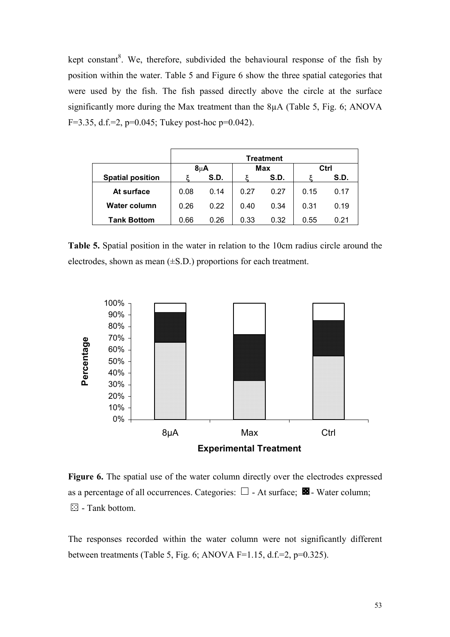kept constant<sup>8</sup>. We, therefore, subdivided the behavioural response of the fish by position within the water. Table 5 and Figure 6 show the three spatial categories that were used by the fish. The fish passed directly above the circle at the surface significantly more during the Max treatment than the 8µA (Table 5, Fig. 6; ANOVA F=3.35, d.f.=2,  $p=0.045$ ; Tukey post-hoc  $p=0.042$ ).

|                         | <b>Treatment</b> |      |            |      |      |      |  |  |
|-------------------------|------------------|------|------------|------|------|------|--|--|
|                         | $8\mu$ A         |      | <b>Max</b> |      | Ctrl |      |  |  |
| <b>Spatial position</b> |                  | S.D. |            | S.D. |      | S.D. |  |  |
| At surface              | 0.08             | 0.14 | 0.27       | 0.27 | 0.15 | 0.17 |  |  |
| Water column            | 0.26             | 0.22 | 0.40       | 0.34 | 0.31 | 0.19 |  |  |
| <b>Tank Bottom</b>      | 0.66             | 0.26 | 0.33       | 0.32 | 0.55 | 0.21 |  |  |

**Table 5.** Spatial position in the water in relation to the 10cm radius circle around the electrodes, shown as mean  $(\pm S.D.)$  proportions for each treatment.



Figure 6. The spatial use of the water column directly over the electrodes expressed as a percentage of all occurrences. Categories:  $\Box$  - At surface;  $\Box$  - Water column;  $\square$  - Tank bottom.

The responses recorded within the water column were not significantly different between treatments (Table 5, Fig. 6; ANOVA F=1.15, d.f.=2,  $p=0.325$ ).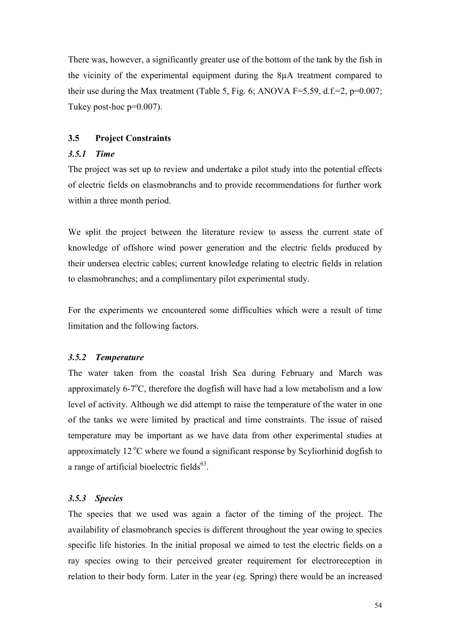There was, however, a significantly greater use of the bottom of the tank by the fish in the vicinity of the experimental equipment during the 8µA treatment compared to their use during the Max treatment (Table 5, Fig. 6; ANOVA F=5.59, d.f.=2,  $p=0.007$ ; Tukey post-hoc p=0.007).

## **3.5 Project Constraints**

### *3.5.1 Time*

The project was set up to review and undertake a pilot study into the potential effects of electric fields on elasmobranchs and to provide recommendations for further work within a three month period.

We split the project between the literature review to assess the current state of knowledge of offshore wind power generation and the electric fields produced by their undersea electric cables; current knowledge relating to electric fields in relation to elasmobranches; and a complimentary pilot experimental study.

For the experiments we encountered some difficulties which were a result of time limitation and the following factors.

### *3.5.2 Temperature*

The water taken from the coastal Irish Sea during February and March was approximately  $6\text{-}7\text{°C}$ , therefore the dogfish will have had a low metabolism and a low level of activity. Although we did attempt to raise the temperature of the water in one of the tanks we were limited by practical and time constraints. The issue of raised temperature may be important as we have data from other experimental studies at approximately  $12^{\circ}$ C where we found a significant response by Scyliorhinid dogfish to a range of artificial bioelectric fields $<sup>63</sup>$ .</sup>

### *3.5.3 Species*

The species that we used was again a factor of the timing of the project. The availability of elasmobranch species is different throughout the year owing to species specific life histories. In the initial proposal we aimed to test the electric fields on a ray species owing to their perceived greater requirement for electroreception in relation to their body form. Later in the year (eg. Spring) there would be an increased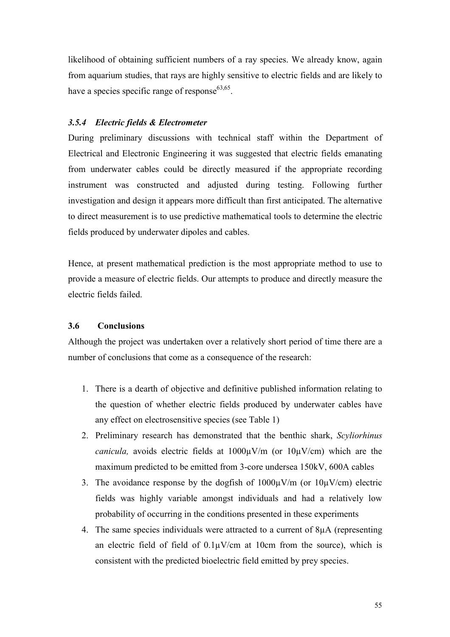likelihood of obtaining sufficient numbers of a ray species. We already know, again from aquarium studies, that rays are highly sensitive to electric fields and are likely to have a species specific range of response  $63,65$ .

## *3.5.4 Electric fields & Electrometer*

During preliminary discussions with technical staff within the Department of Electrical and Electronic Engineering it was suggested that electric fields emanating from underwater cables could be directly measured if the appropriate recording instrument was constructed and adjusted during testing. Following further investigation and design it appears more difficult than first anticipated. The alternative to direct measurement is to use predictive mathematical tools to determine the electric fields produced by underwater dipoles and cables.

Hence, at present mathematical prediction is the most appropriate method to use to provide a measure of electric fields. Our attempts to produce and directly measure the electric fields failed.

### **3.6 Conclusions**

Although the project was undertaken over a relatively short period of time there are a number of conclusions that come as a consequence of the research:

- 1. There is a dearth of objective and definitive published information relating to the question of whether electric fields produced by underwater cables have any effect on electrosensitive species (see Table 1)
- 2. Preliminary research has demonstrated that the benthic shark, *Scyliorhinus canicula,* avoids electric fields at 1000µV/m (or 10µV/cm) which are the maximum predicted to be emitted from 3-core undersea 150kV, 600A cables
- 3. The avoidance response by the dogfish of  $1000\mu\text{V/m}$  (or  $10\mu\text{V/cm}$ ) electric fields was highly variable amongst individuals and had a relatively low probability of occurring in the conditions presented in these experiments
- 4. The same species individuals were attracted to a current of 8µA (representing an electric field of field of  $0.1\mu$ V/cm at 10cm from the source), which is consistent with the predicted bioelectric field emitted by prey species.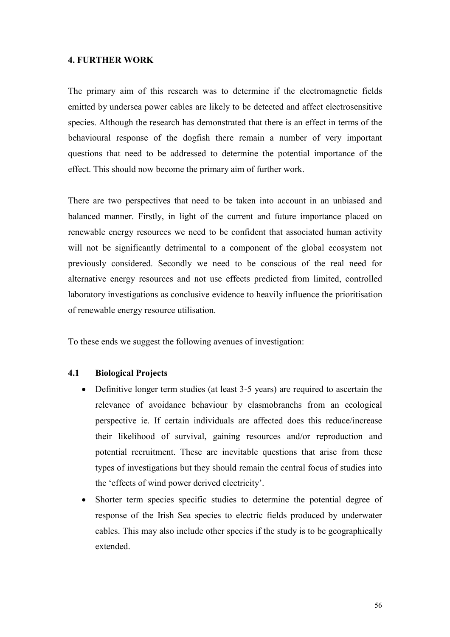### **4. FURTHER WORK**

The primary aim of this research was to determine if the electromagnetic fields emitted by undersea power cables are likely to be detected and affect electrosensitive species. Although the research has demonstrated that there is an effect in terms of the behavioural response of the dogfish there remain a number of very important questions that need to be addressed to determine the potential importance of the effect. This should now become the primary aim of further work.

There are two perspectives that need to be taken into account in an unbiased and balanced manner. Firstly, in light of the current and future importance placed on renewable energy resources we need to be confident that associated human activity will not be significantly detrimental to a component of the global ecosystem not previously considered. Secondly we need to be conscious of the real need for alternative energy resources and not use effects predicted from limited, controlled laboratory investigations as conclusive evidence to heavily influence the prioritisation of renewable energy resource utilisation.

To these ends we suggest the following avenues of investigation:

## **4.1 Biological Projects**

- $\bullet$  Definitive longer term studies (at least 3-5 years) are required to ascertain the relevance of avoidance behaviour by elasmobranchs from an ecological perspective ie. If certain individuals are affected does this reduce/increase their likelihood of survival, gaining resources and/or reproduction and potential recruitment. These are inevitable questions that arise from these types of investigations but they should remain the central focus of studies into the 'effects of wind power derived electricity'.
- - Shorter term species specific studies to determine the potential degree of response of the Irish Sea species to electric fields produced by underwater cables. This may also include other species if the study is to be geographically extended.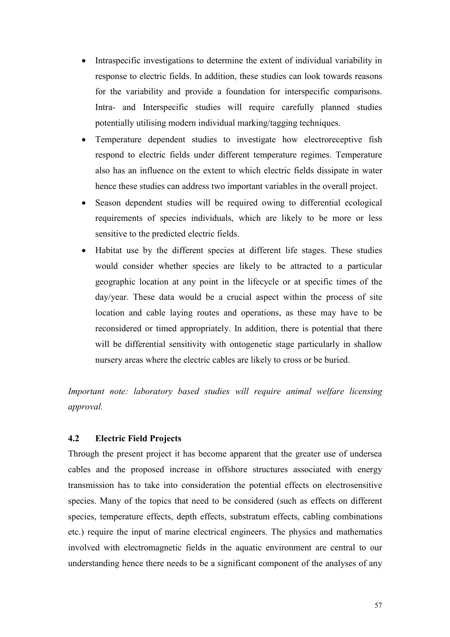- - Intraspecific investigations to determine the extent of individual variability in response to electric fields. In addition, these studies can look towards reasons for the variability and provide a foundation for interspecific comparisons. Intra- and Interspecific studies will require carefully planned studies potentially utilising modern individual marking/tagging techniques.
- $\bullet$  Temperature dependent studies to investigate how electroreceptive fish respond to electric fields under different temperature regimes. Temperature also has an influence on the extent to which electric fields dissipate in water hence these studies can address two important variables in the overall project.
- - Season dependent studies will be required owing to differential ecological requirements of species individuals, which are likely to be more or less sensitive to the predicted electric fields.
- $\bullet$  Habitat use by the different species at different life stages. These studies would consider whether species are likely to be attracted to a particular geographic location at any point in the lifecycle or at specific times of the day/year. These data would be a crucial aspect within the process of site location and cable laying routes and operations, as these may have to be reconsidered or timed appropriately. In addition, there is potential that there will be differential sensitivity with ontogenetic stage particularly in shallow nursery areas where the electric cables are likely to cross or be buried.

*Important note: laboratory based studies will require animal welfare licensing approval.* 

## **4.2 Electric Field Projects**

Through the present project it has become apparent that the greater use of undersea cables and the proposed increase in offshore structures associated with energy transmission has to take into consideration the potential effects on electrosensitive species. Many of the topics that need to be considered (such as effects on different species, temperature effects, depth effects, substratum effects, cabling combinations etc.) require the input of marine electrical engineers. The physics and mathematics involved with electromagnetic fields in the aquatic environment are central to our understanding hence there needs to be a significant component of the analyses of any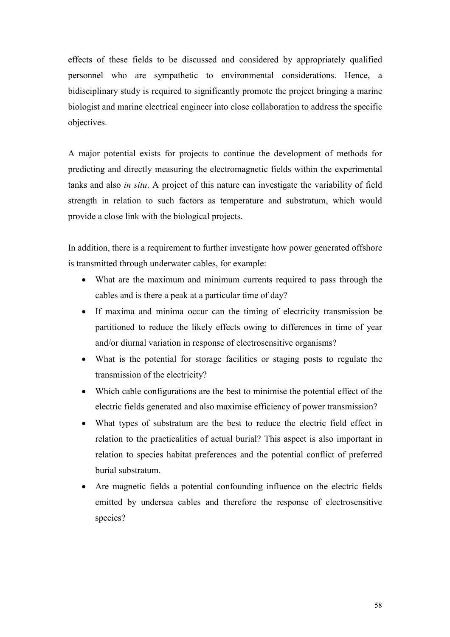effects of these fields to be discussed and considered by appropriately qualified personnel who are sympathetic to environmental considerations. Hence, a bidisciplinary study is required to significantly promote the project bringing a marine biologist and marine electrical engineer into close collaboration to address the specific objectives.

A major potential exists for projects to continue the development of methods for predicting and directly measuring the electromagnetic fields within the experimental tanks and also *in situ*. A project of this nature can investigate the variability of field strength in relation to such factors as temperature and substratum, which would provide a close link with the biological projects.

In addition, there is a requirement to further investigate how power generated offshore is transmitted through underwater cables, for example:

- What are the maximum and minimum currents required to pass through the cables and is there a peak at a particular time of day?
- If maxima and minima occur can the timing of electricity transmission be partitioned to reduce the likely effects owing to differences in time of year and/or diurnal variation in response of electrosensitive organisms?
- What is the potential for storage facilities or staging posts to regulate the transmission of the electricity?
- Which cable configurations are the best to minimise the potential effect of the electric fields generated and also maximise efficiency of power transmission?
- What types of substratum are the best to reduce the electric field effect in relation to the practicalities of actual burial? This aspect is also important in relation to species habitat preferences and the potential conflict of preferred burial substratum.
- Are magnetic fields a potential confounding influence on the electric fields emitted by undersea cables and therefore the response of electrosensitive species?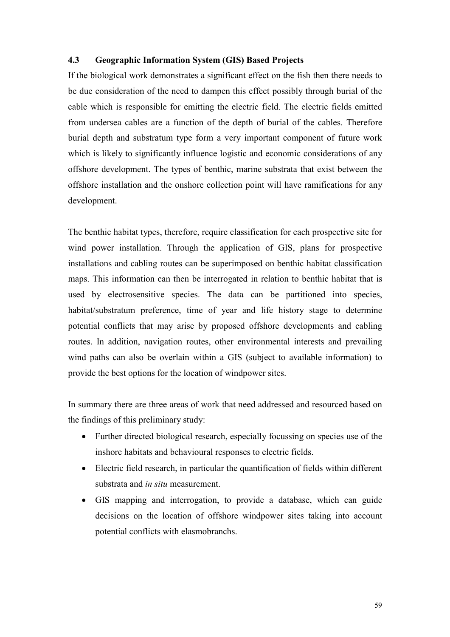## **4.3 Geographic Information System (GIS) Based Projects**

If the biological work demonstrates a significant effect on the fish then there needs to be due consideration of the need to dampen this effect possibly through burial of the cable which is responsible for emitting the electric field. The electric fields emitted from undersea cables are a function of the depth of burial of the cables. Therefore burial depth and substratum type form a very important component of future work which is likely to significantly influence logistic and economic considerations of any offshore development. The types of benthic, marine substrata that exist between the offshore installation and the onshore collection point will have ramifications for any development.

The benthic habitat types, therefore, require classification for each prospective site for wind power installation. Through the application of GIS, plans for prospective installations and cabling routes can be superimposed on benthic habitat classification maps. This information can then be interrogated in relation to benthic habitat that is used by electrosensitive species. The data can be partitioned into species, habitat/substratum preference, time of year and life history stage to determine potential conflicts that may arise by proposed offshore developments and cabling routes. In addition, navigation routes, other environmental interests and prevailing wind paths can also be overlain within a GIS (subject to available information) to provide the best options for the location of windpower sites.

In summary there are three areas of work that need addressed and resourced based on the findings of this preliminary study:

- Further directed biological research, especially focussing on species use of the inshore habitats and behavioural responses to electric fields.
- Electric field research, in particular the quantification of fields within different substrata and *in situ* measurement.
- GIS mapping and interrogation, to provide a database, which can guide decisions on the location of offshore windpower sites taking into account potential conflicts with elasmobranchs.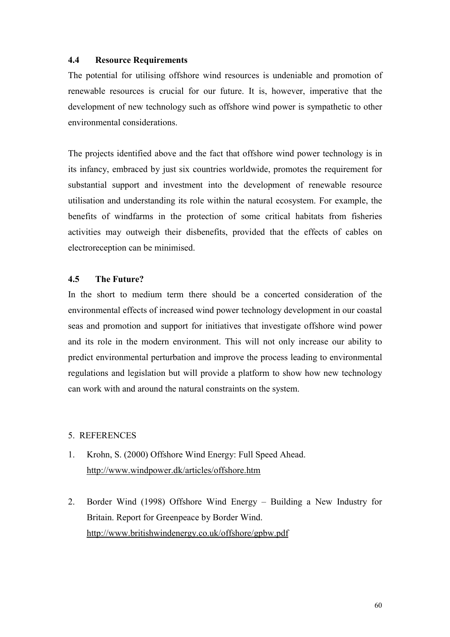## **4.4 Resource Requirements**

The potential for utilising offshore wind resources is undeniable and promotion of renewable resources is crucial for our future. It is, however, imperative that the development of new technology such as offshore wind power is sympathetic to other environmental considerations.

The projects identified above and the fact that offshore wind power technology is in its infancy, embraced by just six countries worldwide, promotes the requirement for substantial support and investment into the development of renewable resource utilisation and understanding its role within the natural ecosystem. For example, the benefits of windfarms in the protection of some critical habitats from fisheries activities may outweigh their disbenefits, provided that the effects of cables on electroreception can be minimised.

## **4.5 The Future?**

In the short to medium term there should be a concerted consideration of the environmental effects of increased wind power technology development in our coastal seas and promotion and support for initiatives that investigate offshore wind power and its role in the modern environment. This will not only increase our ability to predict environmental perturbation and improve the process leading to environmental regulations and legislation but will provide a platform to show how new technology can work with and around the natural constraints on the system.

### 5. REFERENCES

- 1. Krohn, S. (2000) Offshore Wind Energy: Full Speed Ahead. <http://www.windpower.dk/articles/offshore.htm>
- 2. Border Wind (1998) Offshore Wind Energy Building a New Industry for Britain. Report for Greenpeace by Border Wind. <http://www.britishwindenergy.co.uk/offshore/gpbw.pdf>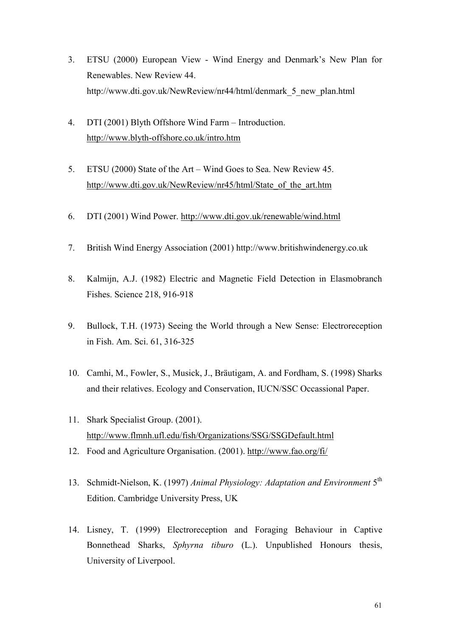- 3. ETSU (2000) European View Wind Energy and Denmark's New Plan for Renewables. New Review 44. http://www.dti.gov.uk/NewReview/nr44/html/denmark\_5\_new\_plan.html
- 4. DTI (2001) Blyth Offshore Wind Farm Introduction. <http://www.blyth-offshore.co.uk/intro.htm>
- 5. ETSU (2000) State of the Art Wind Goes to Sea. New Review 45. [http://www.dti.gov.uk/NewReview/nr45/html/State\\_of\\_the\\_art.htm](http://www.dti.gov.uk/NewReview/nr45/html/State_of_the_art.htm)
- 6. DTI (2001) Wind Power. <http://www.dti.gov.uk/renewable/wind.html>
- 7. British Wind Energy Association (2001) http://www.britishwindenergy.co.uk
- 8. Kalmijn, A.J. (1982) Electric and Magnetic Field Detection in Elasmobranch Fishes. Science 218, 916-918
- 9. Bullock, T.H. (1973) Seeing the World through a New Sense: Electroreception in Fish. Am. Sci. 61, 316-325
- 10. Camhi, M., Fowler, S., Musick, J., Bräutigam, A. and Fordham, S. (1998) Sharks and their relatives. Ecology and Conservation, IUCN/SSC Occassional Paper.
- 11. Shark Specialist Group. (2001). <http://www.flmnh.ufl.edu/fish/Organizations/SSG/SSGDefault.html>
- 12. Food and Agriculture Organisation. (2001). <http://www.fao.org/fi/>
- 13. Schmidt-Nielson, K. (1997) *Animal Physiology: Adaptation and Environment* 5th Edition. Cambridge University Press, UK
- 14. Lisney, T. (1999) Electroreception and Foraging Behaviour in Captive Bonnethead Sharks, *Sphyrna tiburo* (L.). Unpublished Honours thesis, University of Liverpool.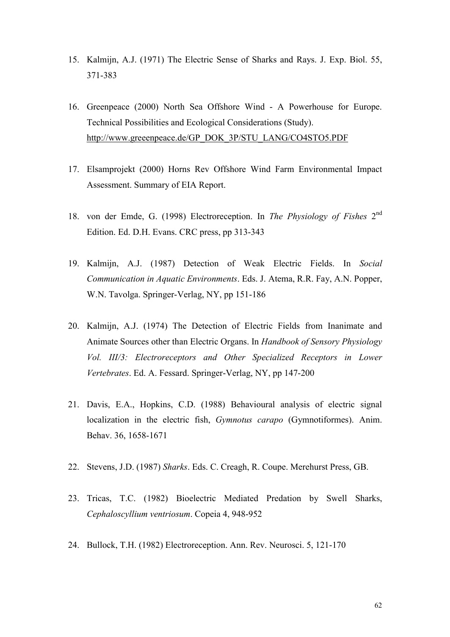- 15. Kalmijn, A.J. (1971) The Electric Sense of Sharks and Rays. J. Exp. Biol. 55, 371-383
- 16. Greenpeace (2000) North Sea Offshore Wind A Powerhouse for Europe. Technical Possibilities and Ecological Considerations (Study). [http://www.greeenpeace.de/GP\\_DOK\\_3P/STU\\_LANG/CO4STO5.PDF](http://www.greeenpeace.de/GP_DOK_3P/STU_LANG/CO4STO5.PDF)
- 17. Elsamprojekt (2000) Horns Rev Offshore Wind Farm Environmental Impact Assessment. Summary of EIA Report.
- 18. von der Emde, G. (1998) Electroreception. In *The Physiology of Fishes* 2nd Edition. Ed. D.H. Evans. CRC press, pp 313-343
- 19. Kalmijn, A.J. (1987) Detection of Weak Electric Fields. In *Social Communication in Aquatic Environments*. Eds. J. Atema, R.R. Fay, A.N. Popper, W.N. Tavolga. Springer-Verlag, NY, pp 151-186
- 20. Kalmijn, A.J. (1974) The Detection of Electric Fields from Inanimate and Animate Sources other than Electric Organs. In *Handbook of Sensory Physiology Vol. III/3: Electroreceptors and Other Specialized Receptors in Lower Vertebrates*. Ed. A. Fessard. Springer-Verlag, NY, pp 147-200
- 21. Davis, E.A., Hopkins, C.D. (1988) Behavioural analysis of electric signal localization in the electric fish, *Gymnotus carapo* (Gymnotiformes). Anim. Behav. 36, 1658-1671
- 22. Stevens, J.D. (1987) *Sharks*. Eds. C. Creagh, R. Coupe. Merehurst Press, GB.
- 23. Tricas, T.C. (1982) Bioelectric Mediated Predation by Swell Sharks, *Cephaloscyllium ventriosum*. Copeia 4, 948-952
- 24. Bullock, T.H. (1982) Electroreception. Ann. Rev. Neurosci. 5, 121-170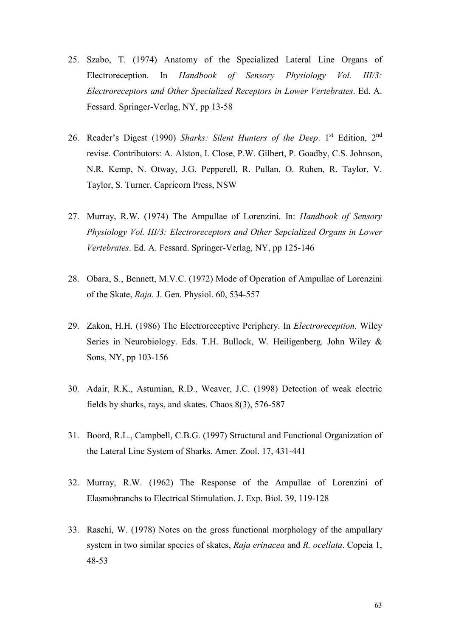- 25. Szabo, T. (1974) Anatomy of the Specialized Lateral Line Organs of Electroreception. In *Handbook of Sensory Physiology Vol. III/3: Electroreceptors and Other Specialized Receptors in Lower Vertebrates*. Ed. A. Fessard. Springer-Verlag, NY, pp 13-58
- 26. Reader's Digest (1990) Sharks: Silent Hunters of the Deep. 1<sup>st</sup> Edition, 2<sup>nd</sup> revise. Contributors: A. Alston, I. Close, P.W. Gilbert, P. Goadby, C.S. Johnson, N.R. Kemp, N. Otway, J.G. Pepperell, R. Pullan, O. Ruhen, R. Taylor, V. Taylor, S. Turner. Capricorn Press, NSW
- 27. Murray, R.W. (1974) The Ampullae of Lorenzini. In: *Handbook of Sensory Physiology Vol. III/3: Electroreceptors and Other Sepcialized Organs in Lower Vertebrates*. Ed. A. Fessard. Springer-Verlag, NY, pp 125-146
- 28. Obara, S., Bennett, M.V.C. (1972) Mode of Operation of Ampullae of Lorenzini of the Skate, *Raja*. J. Gen. Physiol. 60, 534-557
- 29. Zakon, H.H. (1986) The Electroreceptive Periphery. In *Electroreception*. Wiley Series in Neurobiology. Eds. T.H. Bullock, W. Heiligenberg. John Wiley & Sons, NY, pp 103-156
- 30. Adair, R.K., Astumian, R.D., Weaver, J.C. (1998) Detection of weak electric fields by sharks, rays, and skates. Chaos 8(3), 576-587
- 31. Boord, R.L., Campbell, C.B.G. (1997) Structural and Functional Organization of the Lateral Line System of Sharks. Amer. Zool. 17, 431-441
- 32. Murray, R.W. (1962) The Response of the Ampullae of Lorenzini of Elasmobranchs to Electrical Stimulation. J. Exp. Biol. 39, 119-128
- 33. Raschi, W. (1978) Notes on the gross functional morphology of the ampullary system in two similar species of skates, *Raja erinacea* and *R. ocellata*. Copeia 1, 48-53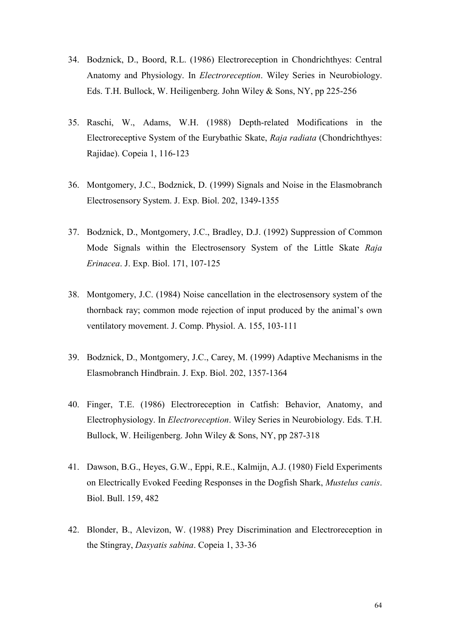- 34. Bodznick, D., Boord, R.L. (1986) Electroreception in Chondrichthyes: Central Anatomy and Physiology. In *Electroreception*. Wiley Series in Neurobiology. Eds. T.H. Bullock, W. Heiligenberg. John Wiley & Sons, NY, pp 225-256
- 35. Raschi, W., Adams, W.H. (1988) Depth-related Modifications in the Electroreceptive System of the Eurybathic Skate, *Raja radiata* (Chondrichthyes: Rajidae). Copeia 1, 116-123
- 36. Montgomery, J.C., Bodznick, D. (1999) Signals and Noise in the Elasmobranch Electrosensory System. J. Exp. Biol. 202, 1349-1355
- 37. Bodznick, D., Montgomery, J.C., Bradley, D.J. (1992) Suppression of Common Mode Signals within the Electrosensory System of the Little Skate *Raja Erinacea*. J. Exp. Biol. 171, 107-125
- 38. Montgomery, J.C. (1984) Noise cancellation in the electrosensory system of the thornback ray; common mode rejection of input produced by the animal's own ventilatory movement. J. Comp. Physiol. A. 155, 103-111
- 39. Bodznick, D., Montgomery, J.C., Carey, M. (1999) Adaptive Mechanisms in the Elasmobranch Hindbrain. J. Exp. Biol. 202, 1357-1364
- 40. Finger, T.E. (1986) Electroreception in Catfish: Behavior, Anatomy, and Electrophysiology. In *Electroreception*. Wiley Series in Neurobiology. Eds. T.H. Bullock, W. Heiligenberg. John Wiley & Sons, NY, pp 287-318
- 41. Dawson, B.G., Heyes, G.W., Eppi, R.E., Kalmijn, A.J. (1980) Field Experiments on Electrically Evoked Feeding Responses in the Dogfish Shark, *Mustelus canis*. Biol. Bull. 159, 482
- 42. Blonder, B., Alevizon, W. (1988) Prey Discrimination and Electroreception in the Stingray, *Dasyatis sabina*. Copeia 1, 33-36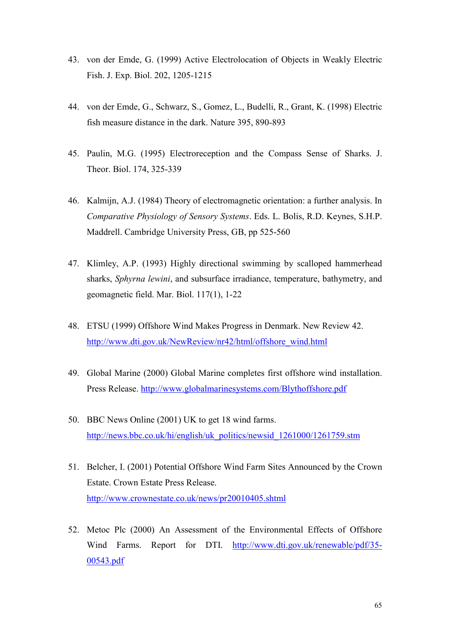- 43. von der Emde, G. (1999) Active Electrolocation of Objects in Weakly Electric Fish. J. Exp. Biol. 202, 1205-1215
- 44. von der Emde, G., Schwarz, S., Gomez, L., Budelli, R., Grant, K. (1998) Electric fish measure distance in the dark. Nature 395, 890-893
- 45. Paulin, M.G. (1995) Electroreception and the Compass Sense of Sharks. J. Theor. Biol. 174, 325-339
- 46. Kalmijn, A.J. (1984) Theory of electromagnetic orientation: a further analysis. In *Comparative Physiology of Sensory Systems*. Eds. L. Bolis, R.D. Keynes, S.H.P. Maddrell. Cambridge University Press, GB, pp 525-560
- 47. Klimley, A.P. (1993) Highly directional swimming by scalloped hammerhead sharks, *Sphyrna lewini*, and subsurface irradiance, temperature, bathymetry, and geomagnetic field. Mar. Biol. 117(1), 1-22
- 48. ETSU (1999) Offshore Wind Makes Progress in Denmark. New Review 42. [http://www.dti.gov.uk/NewReview/nr42/html/offshore\\_wind.html](http://www.dti.gov.uk/NewReview/nr42/html/offshore_wind.html)
- 49. Global Marine (2000) Global Marine completes first offshore wind installation. Press Release.<http://www.globalmarinesystems.com/Blythoffshore.pdf>
- 50. BBC News Online (2001) UK to get 18 wind farms. [http://news.bbc.co.uk/hi/english/uk\\_politics/newsid\\_1261000/1261759.stm](http://news.bbc.co.uk/hi/english/uk_politics/newsid_1261000/1261759.stm)
- 51. Belcher, I. (2001) Potential Offshore Wind Farm Sites Announced by the Crown Estate. Crown Estate Press Release. <http://www.crownestate.co.uk/news/pr20010405.shtml>
- 52. Metoc Plc (2000) An Assessment of the Environmental Effects of Offshore Wind Farms. Report for DTI. [http://www.dti.gov.uk/renewable/pdf/35-](http://www.dti.gov.uk/renewable/pdf/35-00543.pdf) [00543.pdf](http://www.dti.gov.uk/renewable/pdf/35-00543.pdf)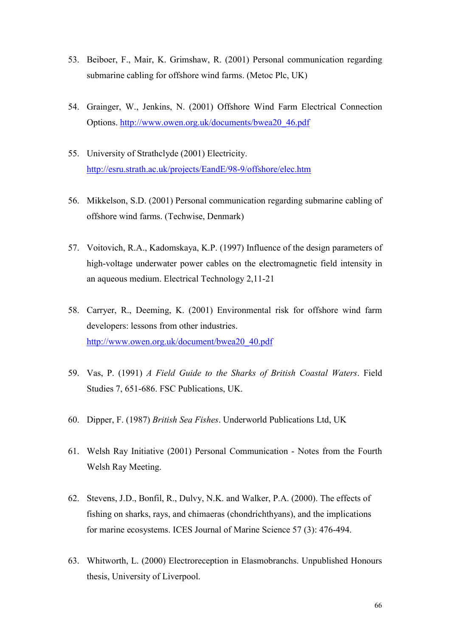- 53. Beiboer, F., Mair, K. Grimshaw, R. (2001) Personal communication regarding submarine cabling for offshore wind farms. (Metoc Plc, UK)
- 54. Grainger, W., Jenkins, N. (2001) Offshore Wind Farm Electrical Connection Options. [http://www.owen.org.uk/documents/bwea20\\_46.pdf](http://www.owen.org.uk/documents/bwea20_46.pdf)
- 55. University of Strathclyde (2001) Electricity. <http://esru.strath.ac.uk/projects/EandE/98-9/offshore/elec.htm>
- 56. Mikkelson, S.D. (2001) Personal communication regarding submarine cabling of offshore wind farms. (Techwise, Denmark)
- 57. Voitovich, R.A., Kadomskaya, K.P. (1997) Influence of the design parameters of high-voltage underwater power cables on the electromagnetic field intensity in an aqueous medium. Electrical Technology 2,11-21
- 58. Carryer, R., Deeming, K. (2001) Environmental risk for offshore wind farm developers: lessons from other industries. [http://www.owen.org.uk/document/bwea20\\_40.pdf](http://www.owen.org.uk/document/bwea20_40.pdf)
- 59. Vas, P. (1991) *A Field Guide to the Sharks of British Coastal Waters*. Field Studies 7, 651-686. FSC Publications, UK.
- 60. Dipper, F. (1987) *British Sea Fishes*. Underworld Publications Ltd, UK
- 61. Welsh Ray Initiative (2001) Personal Communication Notes from the Fourth Welsh Ray Meeting.
- 62. Stevens, J.D., Bonfil, R., Dulvy, N.K. and Walker, P.A. (2000). The effects of fishing on sharks, rays, and chimaeras (chondrichthyans), and the implications for marine ecosystems. ICES Journal of Marine Science 57 (3): 476-494.
- 63. Whitworth, L. (2000) Electroreception in Elasmobranchs. Unpublished Honours thesis, University of Liverpool.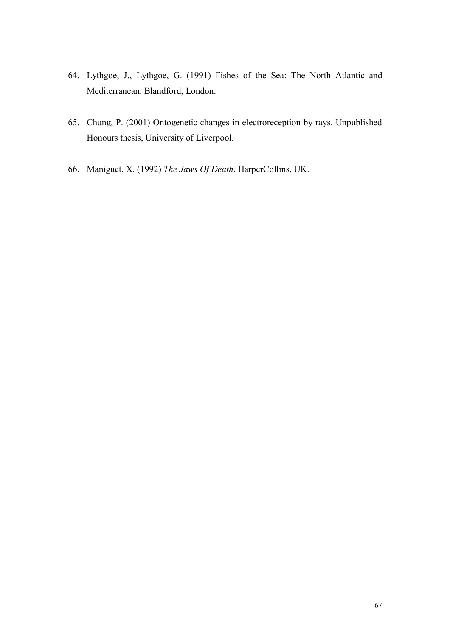- 64. Lythgoe, J., Lythgoe, G. (1991) Fishes of the Sea: The North Atlantic and Mediterranean. Blandford, London.
- 65. Chung, P. (2001) Ontogenetic changes in electroreception by rays. Unpublished Honours thesis, University of Liverpool.
- 66. Maniguet, X. (1992) *The Jaws Of Death*. HarperCollins, UK.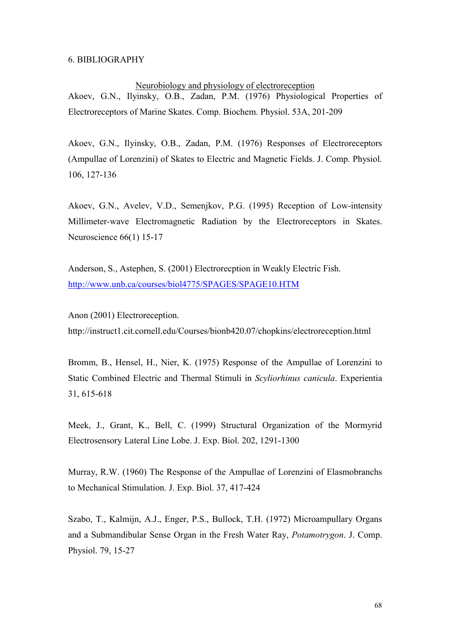#### 6. BIBLIOGRAPHY

#### Neurobiology and physiology of electroreception

Akoev, G.N., Ilyinsky, O.B., Zadan, P.M. (1976) Physiological Properties of Electroreceptors of Marine Skates. Comp. Biochem. Physiol. 53A, 201-209

Akoev, G.N., Ilyinsky, O.B., Zadan, P.M. (1976) Responses of Electroreceptors (Ampullae of Lorenzini) of Skates to Electric and Magnetic Fields. J. Comp. Physiol. 106, 127-136

Akoev, G.N., Avelev, V.D., Semenjkov, P.G. (1995) Reception of Low-intensity Millimeter-wave Electromagnetic Radiation by the Electroreceptors in Skates. Neuroscience 66(1) 15-17

Anderson, S., Astephen, S. (2001) Electrorecption in Weakly Electric Fish. <http://www.unb.ca/courses/biol4775/SPAGES/SPAGE10.HTM>

Anon (2001) Electroreception. http://instruct1.cit.cornell.edu/Courses/bionb420.07/chopkins/electroreception.html

Bromm, B., Hensel, H., Nier, K. (1975) Response of the Ampullae of Lorenzini to Static Combined Electric and Thermal Stimuli in *Scyliorhinus canicula*. Experientia 31, 615-618

Meek, J., Grant, K., Bell, C. (1999) Structural Organization of the Mormyrid Electrosensory Lateral Line Lobe. J. Exp. Biol. 202, 1291-1300

Murray, R.W. (1960) The Response of the Ampullae of Lorenzini of Elasmobranchs to Mechanical Stimulation. J. Exp. Biol. 37, 417-424

Szabo, T., Kalmijn, A.J., Enger, P.S., Bullock, T.H. (1972) Microampullary Organs and a Submandibular Sense Organ in the Fresh Water Ray, *Potamotrygon*. J. Comp. Physiol. 79, 15-27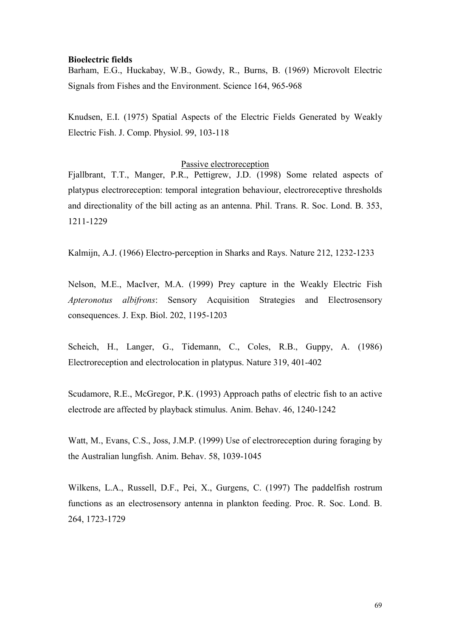#### **Bioelectric fields**

Barham, E.G., Huckabay, W.B., Gowdy, R., Burns, B. (1969) Microvolt Electric Signals from Fishes and the Environment. Science 164, 965-968

Knudsen, E.I. (1975) Spatial Aspects of the Electric Fields Generated by Weakly Electric Fish. J. Comp. Physiol. 99, 103-118

#### Passive electroreception

Fjallbrant, T.T., Manger, P.R., Pettigrew, J.D. (1998) Some related aspects of platypus electroreception: temporal integration behaviour, electroreceptive thresholds and directionality of the bill acting as an antenna. Phil. Trans. R. Soc. Lond. B. 353, 1211-1229

Kalmijn, A.J. (1966) Electro-perception in Sharks and Rays. Nature 212, 1232-1233

Nelson, M.E., MacIver, M.A. (1999) Prey capture in the Weakly Electric Fish *Apteronotus albifrons*: Sensory Acquisition Strategies and Electrosensory consequences. J. Exp. Biol. 202, 1195-1203

Scheich, H., Langer, G., Tidemann, C., Coles, R.B., Guppy, A. (1986) Electroreception and electrolocation in platypus. Nature 319, 401-402

Scudamore, R.E., McGregor, P.K. (1993) Approach paths of electric fish to an active electrode are affected by playback stimulus. Anim. Behav. 46, 1240-1242

Watt, M., Evans, C.S., Joss, J.M.P. (1999) Use of electroreception during foraging by the Australian lungfish. Anim. Behav. 58, 1039-1045

Wilkens, L.A., Russell, D.F., Pei, X., Gurgens, C. (1997) The paddelfish rostrum functions as an electrosensory antenna in plankton feeding. Proc. R. Soc. Lond. B. 264, 1723-1729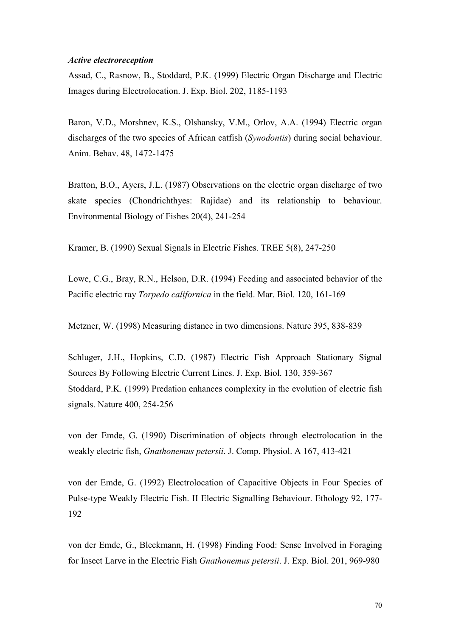#### *Active electroreception*

Assad, C., Rasnow, B., Stoddard, P.K. (1999) Electric Organ Discharge and Electric Images during Electrolocation. J. Exp. Biol. 202, 1185-1193

Baron, V.D., Morshnev, K.S., Olshansky, V.M., Orlov, A.A. (1994) Electric organ discharges of the two species of African catfish (*Synodontis*) during social behaviour. Anim. Behav. 48, 1472-1475

Bratton, B.O., Ayers, J.L. (1987) Observations on the electric organ discharge of two skate species (Chondrichthyes: Rajidae) and its relationship to behaviour. Environmental Biology of Fishes 20(4), 241-254

Kramer, B. (1990) Sexual Signals in Electric Fishes. TREE 5(8), 247-250

Lowe, C.G., Bray, R.N., Helson, D.R. (1994) Feeding and associated behavior of the Pacific electric ray *Torpedo californica* in the field. Mar. Biol. 120, 161-169

Metzner, W. (1998) Measuring distance in two dimensions. Nature 395, 838-839

Schluger, J.H., Hopkins, C.D. (1987) Electric Fish Approach Stationary Signal Sources By Following Electric Current Lines. J. Exp. Biol. 130, 359-367 Stoddard, P.K. (1999) Predation enhances complexity in the evolution of electric fish signals. Nature 400, 254-256

von der Emde, G. (1990) Discrimination of objects through electrolocation in the weakly electric fish, *Gnathonemus petersii*. J. Comp. Physiol. A 167, 413-421

von der Emde, G. (1992) Electrolocation of Capacitive Objects in Four Species of Pulse-type Weakly Electric Fish. II Electric Signalling Behaviour. Ethology 92, 177- 192

von der Emde, G., Bleckmann, H. (1998) Finding Food: Sense Involved in Foraging for Insect Larve in the Electric Fish *Gnathonemus petersii*. J. Exp. Biol. 201, 969-980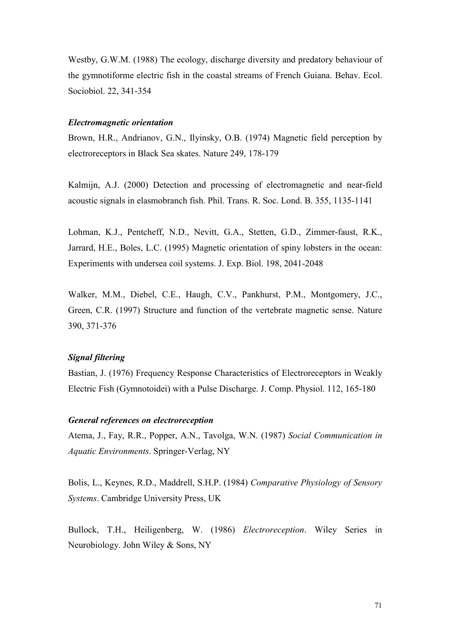Westby, G.W.M. (1988) The ecology, discharge diversity and predatory behaviour of the gymnotiforme electric fish in the coastal streams of French Guiana. Behav. Ecol. Sociobiol. 22, 341-354

#### *Electromagnetic orientation*

Brown, H.R., Andrianov, G.N., Ilyinsky, O.B. (1974) Magnetic field perception by electroreceptors in Black Sea skates. Nature 249, 178-179

Kalmijn, A.J. (2000) Detection and processing of electromagnetic and near-field acoustic signals in elasmobranch fish. Phil. Trans. R. Soc. Lond. B. 355, 1135-1141

Lohman, K.J., Pentcheff, N.D., Nevitt, G.A., Stetten, G.D., Zimmer-faust, R.K., Jarrard, H.E., Boles, L.C. (1995) Magnetic orientation of spiny lobsters in the ocean: Experiments with undersea coil systems. J. Exp. Biol. 198, 2041-2048

Walker, M.M., Diebel, C.E., Haugh, C.V., Pankhurst, P.M., Montgomery, J.C., Green, C.R. (1997) Structure and function of the vertebrate magnetic sense. Nature 390, 371-376

#### *Signal filtering*

Bastian, J. (1976) Frequency Response Characteristics of Electroreceptors in Weakly Electric Fish (Gymnotoidei) with a Pulse Discharge. J. Comp. Physiol. 112, 165-180

#### *General references on electroreception*

Atema, J., Fay, R.R., Popper, A.N., Tavolga, W.N. (1987) *Social Communication in Aquatic Environments*. Springer-Verlag, NY

Bolis, L., Keynes, R.D., Maddrell, S.H.P. (1984) *Comparative Physiology of Sensory Systems*. Cambridge University Press, UK

Bullock, T.H., Heiligenberg, W. (1986) *Electroreception*. Wiley Series in Neurobiology. John Wiley & Sons, NY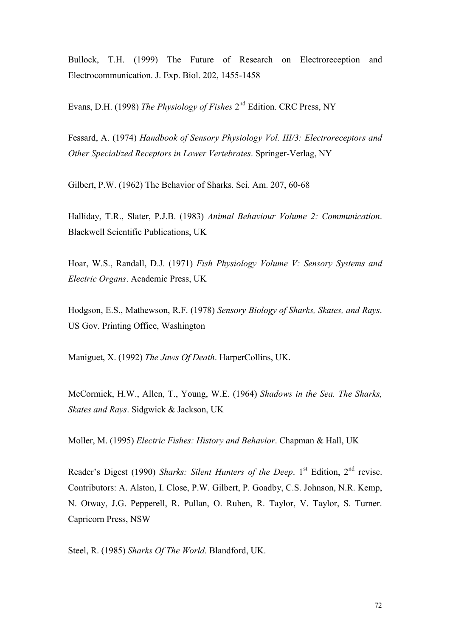Bullock, T.H. (1999) The Future of Research on Electroreception and Electrocommunication. J. Exp. Biol. 202, 1455-1458

Evans, D.H. (1998) *The Physiology of Fishes* 2nd Edition. CRC Press, NY

Fessard, A. (1974) *Handbook of Sensory Physiology Vol. III/3: Electroreceptors and Other Specialized Receptors in Lower Vertebrates*. Springer-Verlag, NY

Gilbert, P.W. (1962) The Behavior of Sharks. Sci. Am. 207, 60-68

Halliday, T.R., Slater, P.J.B. (1983) *Animal Behaviour Volume 2: Communication*. Blackwell Scientific Publications, UK

Hoar, W.S., Randall, D.J. (1971) *Fish Physiology Volume V: Sensory Systems and Electric Organs*. Academic Press, UK

Hodgson, E.S., Mathewson, R.F. (1978) *Sensory Biology of Sharks, Skates, and Rays*. US Gov. Printing Office, Washington

Maniguet, X. (1992) *The Jaws Of Death*. HarperCollins, UK.

McCormick, H.W., Allen, T., Young, W.E. (1964) *Shadows in the Sea. The Sharks, Skates and Rays*. Sidgwick & Jackson, UK

Moller, M. (1995) *Electric Fishes: History and Behavior*. Chapman & Hall, UK

Reader's Digest (1990) *Sharks: Silent Hunters of the Deep*. 1<sup>st</sup> Edition, 2<sup>nd</sup> revise. Contributors: A. Alston, I. Close, P.W. Gilbert, P. Goadby, C.S. Johnson, N.R. Kemp, N. Otway, J.G. Pepperell, R. Pullan, O. Ruhen, R. Taylor, V. Taylor, S. Turner. Capricorn Press, NSW

Steel, R. (1985) *Sharks Of The World*. Blandford, UK.